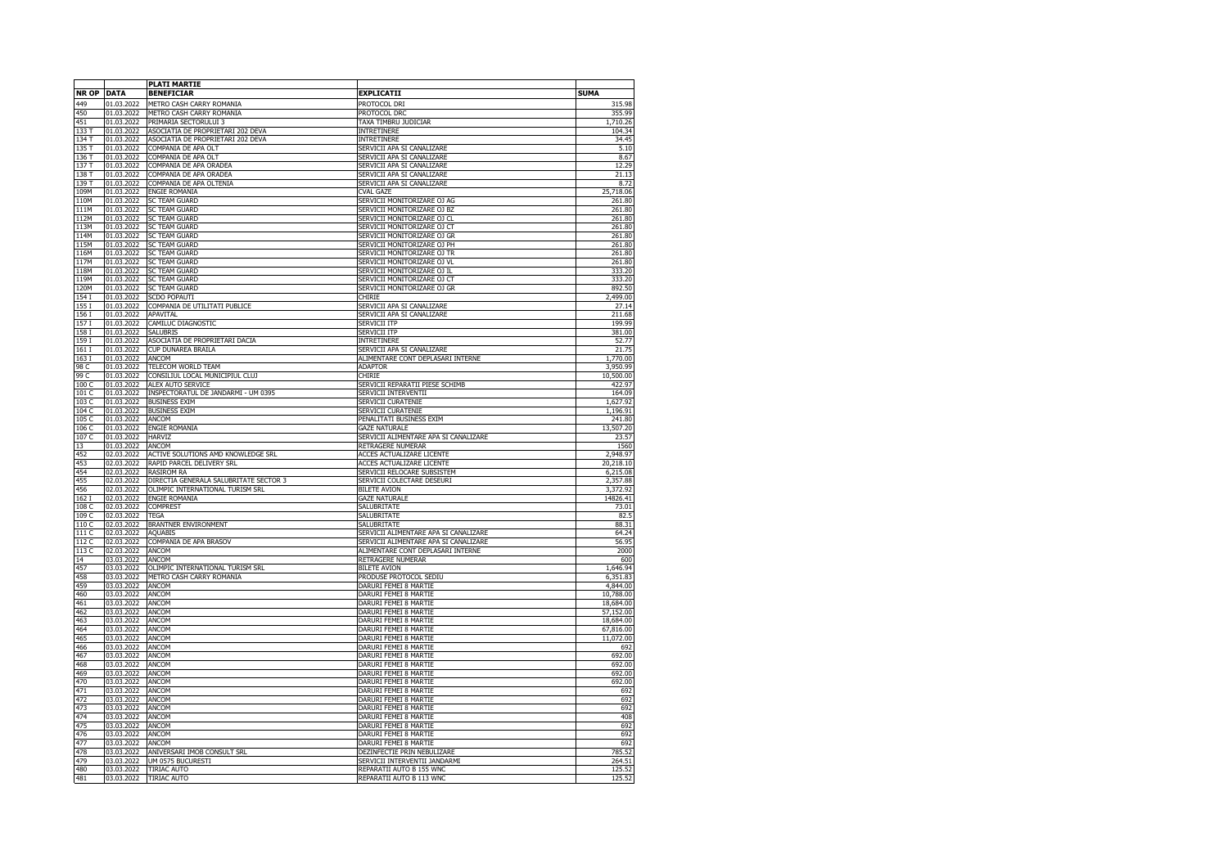|                   |                          | <b>PLATI MARTIE</b>                                      |                                                               |                      |
|-------------------|--------------------------|----------------------------------------------------------|---------------------------------------------------------------|----------------------|
| <b>NR OP DATA</b> |                          | <b>BENEFICIAR</b>                                        | <b>EXPLICATII</b>                                             | <b>SUMA</b>          |
| 449               | 01.03.2022               | METRO CASH CARRY ROMANIA                                 | PROTOCOL DRI                                                  | 315.98               |
| 450               | 01.03.2022               | METRO CASH CARRY ROMANIA                                 | PROTOCOL DRC                                                  | 355.99               |
| 451               | 01.03.2022               | PRIMARIA SECTORULUI 3                                    | TAXA TIMBRU JUDICIAR                                          | 1,710.26             |
| 133 T             | 01.03.2022               | ASOCIATIA DE PROPRIETARI 202 DEVA                        | INTRETINERE                                                   | 104.34               |
| 134 T             | 01.03.2022<br>01.03.2022 | ASOCIATIA DE PROPRIETARI 202 DEVA<br>COMPANIA DE APA OLT | INTRETINERE<br>SERVICII APA SI CANALIZARE                     | 34.45<br>5.10        |
| 135T<br>136 T     | 01.03.2022               | COMPANIA DE APA OLT                                      | SERVICII APA SI CANALIZARE                                    | 8.67                 |
| 137 T             | 01.03.2022               | COMPANIA DE APA ORADEA                                   | SERVICII APA SI CANALIZARE                                    | 12.29                |
| 138 T             | 01.03.2022               | COMPANIA DE APA ORADEA                                   | SERVICII APA SI CANALIZARE                                    | 21.13                |
| 139 T             | 01.03.2022               | COMPANIA DE APA OLTENIA                                  | SERVICII APA SI CANALIZARE                                    | 8.72                 |
| 109M              | 01.03.2022               | ENGIE ROMANIA                                            | CVAL GAZE                                                     | 25,718.06            |
| 110M              | 01.03.2022               | <b>SC TEAM GUARD</b>                                     | SERVICII MONITORIZARE OJ AG                                   | 261.80               |
| 111M              | 01.03.2022<br>01.03.2022 | <b>SC TEAM GUARD</b><br><b>SC TEAM GUARD</b>             | SERVICII MONITORIZARE OJ BZ<br>SERVICII MONITORIZARE OJ CL    | 261.80<br>261.80     |
| 112M<br>113M      | 01.03.2022               | <b>SC TEAM GUARD</b>                                     | SERVICII MONITORIZARE OJ CT                                   | 261.80               |
| 114M              | 01.03.2022               | <b>SC TEAM GUARD</b>                                     | SERVICII MONITORIZARE OJ GR                                   | 261.80               |
| 115M              | 01.03.2022               | <b>SC TEAM GUARD</b>                                     | SERVICII MONITORIZARE OJ PH                                   | 261.80               |
| 116M              | 01.03.2022               | <b>SC TEAM GUARD</b>                                     | SERVICII MONITORIZARE OJ TR                                   | 261.80               |
| 117M              | 01.03.2022               | <b>SC TEAM GUARD</b>                                     | SERVICII MONITORIZARE OJ VL                                   | 261.80               |
| 118M              | 01.03.2022               | <b>SC TEAM GUARD</b>                                     | SERVICII MONITORIZARE OJ IL                                   | 333.20               |
| 119M              | 01.03.2022               | <b>SC TEAM GUARD</b>                                     | SERVICII MONITORIZARE OJ CT                                   | 333.20               |
| 120M<br>154 I     | 01.03.2022<br>01.03.2022 | <b>SC TEAM GUARD</b><br>SCDO POPAUTI                     | SERVICII MONITORIZARE OJ GR<br>CHIRIE                         | 892.50<br>2,499.00   |
| 155 I             | 01.03.2022               | COMPANIA DE UTILITATI PUBLICE                            | SERVICII APA SI CANALIZARE                                    | 27.14                |
| 156 I             | 01.03.2022               | <b>APAVITAL</b>                                          | SERVICII APA SI CANALIZARE                                    | 211.68               |
| 157I              | 01.03.2022               | CAMILUC DIAGNOSTIC                                       | <b>SERVICII ITP</b>                                           | 199.99               |
| 158 I             | 01.03.2022               | <b>SALUBRIS</b>                                          | <b>SERVICII ITP</b>                                           | 381.00               |
| 159 I             | 01.03.2022               | ASOCIATIA DE PROPRIETARI DACIA                           | <b>INTRETINERE</b>                                            | 52.77                |
| 161 I             | 01.03.2022               | CUP DUNAREA BRAILA                                       | SERVICII APA SI CANALIZARE                                    | 21.75                |
| 163I<br>98 C      | 01.03.2022<br>01.03.2022 | ANCOM<br>TELECOM WORLD TEAM                              | ALIMENTARE CONT DEPLASARI INTERNE<br><b>ADAPTOR</b>           | 1,770.00<br>3,950.99 |
| 99 C              | 01.03.2022               | CONSILIUL LOCAL MUNICIPIUL CLUJ                          | CHIRIE                                                        | 10,500.00            |
| 100 C             | 01.03.2022               | ALEX AUTO SERVICE                                        | SERVICII REPARATII PIESE SCHIMB                               | 422.97               |
| 101 C             | 01.03.2022               | INSPECTORATUL DE JANDARMI - UM 0395                      | SERVICII INTERVENTII                                          | 164.09               |
| 103C              | 01.03.2022               | <b>BUSINESS EXIM</b>                                     | SERVICII CURATENIE                                            | 1,627.92             |
| 104 C             | 01.03.2022               | <b>BUSINESS EXIM</b>                                     | SERVICII CURATENIE                                            | 1,196.91             |
| 105 C             | 01.03.2022               | ANCOM                                                    | PENALITATI BUSINESS EXIM                                      | 241.80               |
| 106 C<br>107 C    | 01.03.2022<br>01.03.2022 | <b>ENGIE ROMANIA</b><br><b>HARVIZ</b>                    | <b>GAZE NATURALE</b><br>SERVICII ALIMENTARE APA SI CANALIZARE | 13,507.20<br>23.57   |
| 13                | 01.03.2022               | ANCOM                                                    | RETRAGERE NUMERAR                                             | 1560                 |
| 452               | 02.03.2022               | ACTIVE SOLUTIONS AMD KNOWLEDGE SRL                       | ACCES ACTUALIZARE LICENTE                                     | 2,948.97             |
| 453               | 02.03.2022               | RAPID PARCEL DELIVERY SRL                                | <b>ACCES ACTUALIZARE LICENTE</b>                              | 20,218.10            |
| 454               | 02.03.2022               | <b>RASIROM RA</b>                                        | SERVICII RELOCARE SUBSISTEM                                   | 6,215.08             |
| 455               | 02.03.2022               | DIRECTIA GENERALA SALUBRITATE SECTOR 3                   | SERVICII COLECTARE DESEURI                                    | 2,357.88             |
| 456               | 02.03.2022               | OLIMPIC INTERNATIONAL TURISM SRL                         | <b>BILETE AVION</b>                                           | 3,372.92             |
| 162 I<br>108 C    | 02.03.2022<br>02.03.2022 | <b>ENGIE ROMANIA</b><br><b>COMPREST</b>                  | <b>GAZE NATURALE</b><br>SALUBRITATE                           | 14826.41<br>73.01    |
| 109 C             | 02.03.2022               | <b>TEGA</b>                                              | SALUBRITATE                                                   | 82.5                 |
| 110C              | 02.03.2022               | <b>BRANTNER ENVIRONMENT</b>                              | SALUBRITATE                                                   | 88.31                |
| 111 C             | 02.03.2022               | <b>AQUABIS</b>                                           | SERVICII ALIMENTARE APA SI CANALIZARE                         | 64.24                |
| 112 C             | 02.03.2022               | COMPANIA DE APA BRASOV                                   | SERVICII ALIMENTARE APA SI CANALIZARE                         | 56.95                |
| 113 C             | 02.03.2022               | ANCOM                                                    | ALIMENTARE CONT DEPLASARI INTERNE                             | 2000                 |
| 14                | 03.03.2022               | ANCOM                                                    | RETRAGERE NUMERAR                                             | 600                  |
| 457               | 03.03.2022               | OLIMPIC INTERNATIONAL TURISM SRL                         | <b>BILETE AVION</b>                                           | 1,646.94             |
| 458<br>459        | 03.03.2022<br>03.03.2022 | METRO CASH CARRY ROMANIA<br><b>ANCOM</b>                 | PRODUSE PROTOCOL SEDIU<br>DARURI FEMEI 8 MARTIE               | 6,351.83<br>4,844.00 |
| 460               | 03.03.2022               | ANCOM                                                    | DARURI FEMEI 8 MARTIE                                         | 10,788.00            |
| 461               | 03.03.2022               | ANCOM                                                    | DARURI FEMEI 8 MARTIE                                         | 18,684.00            |
| 462               | 03.03.2022               | ANCOM                                                    | DARURI FEMEI 8 MARTIE                                         | 57,152.00            |
| 463               | 03.03.2022               | ANCOM                                                    | DARURI FEMEI 8 MARTIE                                         | 18,684.00            |
| 464               | 03.03.2022               | ANCOM                                                    | DARURI FEMEI 8 MARTIE                                         | 67,816.00            |
| 465<br>466        | 03.03.2022<br>03.03.2022 | ANCOM<br><b>ANCOM</b>                                    | DARURI FEMEI 8 MARTIE<br>DARURI FEMEI 8 MARTIE                | 11,072.00<br>692     |
| 467               | 03.03.2022               | <b>ANCOM</b>                                             | DARURI FEMEI 8 MARTIE                                         | 692.00               |
| 468               | 03.03.2022               | ANCOM                                                    | DARURI FEMEI 8 MARTIE                                         | 692.00               |
| 469               | 03.03.2022               | ANCOM                                                    | DARURI FEMEI 8 MARTIE                                         | 692.00               |
| 470               | 03.03.2022               | ANCOM                                                    | DARURI FEMEI 8 MARTIE                                         | 692.00               |
| 471               | 03.03.2022               | ANCOM                                                    | DARURI FEMEI 8 MARTIE                                         | 692                  |
| 472               | 03.03.2022               | ANCOM                                                    | DARURI FEMEI 8 MARTIE                                         | 692                  |
| 473<br>474        | 03.03.2022<br>03.03.2022 | <b>ANCOM</b>                                             | DARURI FEMEI 8 MARTIE<br>DARURI FEMEI 8 MARTIE                | 692<br>408           |
| 475               | 03.03.2022               | ANCOM<br>ANCOM                                           | DARURI FEMEI 8 MARTIE                                         | 692                  |
| 476               | 03.03.2022               | ANCOM                                                    | DARURI FEMEI 8 MARTIE                                         | 692                  |
| 477               | 03.03.2022               | ANCOM                                                    | DARURI FEMEI 8 MARTIE                                         | 692                  |
| 478               | 03.03.2022               | ANIVERSARI IMOB CONSULT SRL                              | DEZINFECTIE PRIN NEBULIZARE                                   | 785.52               |
| 479               | 03.03.2022               | UM 0575 BUCURESTI                                        | SERVICII INTERVENTII JANDARMI                                 | 264.51               |
| 480               | 03.03.2022               | <b>TIRIAC AUTO</b>                                       | REPARATII AUTO B 155 WNC                                      | 125.52               |
| 481               | 03.03.2022               | <b>TIRIAC AUTO</b>                                       | REPARATII AUTO B 113 WNC                                      | 125.52               |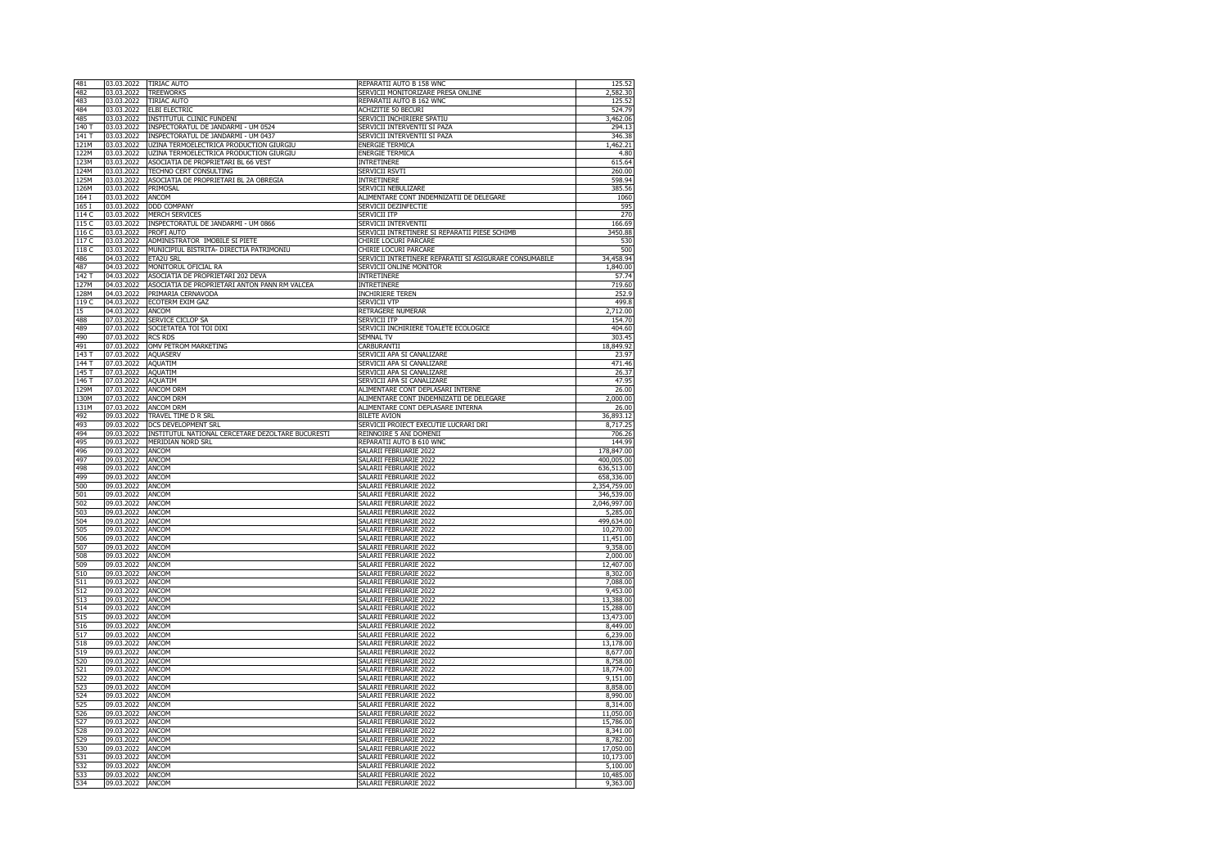| 481        | 03.03.2022               | <b>TIRIAC AUTO</b>                                | REPARATII AUTO B 158 WNC                                | 125.52       |
|------------|--------------------------|---------------------------------------------------|---------------------------------------------------------|--------------|
| 482        | 03.03.2022               | <b>TREEWORKS</b>                                  | SERVICII MONITORIZARE PRESA ONLINE                      | 2,582.30     |
| 483        | 03.03.2022               | <b>TIRIAC AUTO</b>                                | REPARATII AUTO B 162 WNC                                | 125.52       |
| 484        | 03.03.2022               | <b>ELBI ELECTRIC</b>                              | ACHIZITIE 50 BECURI                                     | 524.79       |
| 485        | 03.03.2022               | INSTITUTUL CLINIC FUNDENI                         | SERVICII INCHIRIERE SPATIU                              | 3,462.06     |
| 140 T      | 03.03.2022               | INSPECTORATUL DE JANDARMI - UM 0524               | SERVICII INTERVENTII SI PAZA                            | 294.13       |
| 141 T      | 03.03.2022               | INSPECTORATUL DE JANDARMI - UM 0437               | SERVICII INTERVENTII SI PAZA                            | 346.38       |
| 121M       | 03.03.2022               | UZINA TERMOELECTRICA PRODUCTION GIURGIU           | ENERGIE TERMICA                                         | 1,462.21     |
| 122M       | 03.03.2022               | UZINA TERMOELECTRICA PRODUCTION GIURGIU           | <b>ENERGIE TERMICA</b>                                  | 4.80         |
| 123M       | 03.03.2022               | ASOCIATIA DE PROPRIETARI BL 66 VEST               | <b>INTRETINERE</b>                                      | 615.64       |
| 124M       | 03.03.2022               | TECHNO CERT CONSULTING                            | SERVICII RSVTI                                          | 260.00       |
| 125M       | 03.03.2022               | ASOCIATIA DE PROPRIETARI BL 2A OBREGIA            | INTRETINERE                                             | 598.94       |
| 126M       | 03.03.2022               | PRIMOSAL                                          | SERVICII NEBULIZARE                                     | 385.56       |
| 164 I      | 03.03.2022               | ANCOM                                             | ALIMENTARE CONT INDEMNIZATII DE DELEGARE                | 1060         |
|            |                          |                                                   |                                                         |              |
| 165 I      | 03.03.2022               | DDD COMPANY                                       | SERVICII DEZINFECTIE                                    | 595          |
| 114 C      | 03.03.2022               | <b>MERCH SERVICES</b>                             | <b>SERVICII ITP</b>                                     | 270          |
| 115 C      | 03.03.2022               | INSPECTORATUL DE JANDARMI - UM 0866               | SERVICII INTERVENTII                                    | 166.69       |
| 116 C      | 03.03.2022               | PROFI AUTO                                        | SERVICII INTRETINERE SI REPARATII PIESE SCHIMB          | 3450.88      |
| 117 C      | 03.03.2022               | ADMINISTRATOR IMOBILE SI PIETE                    | CHIRIE LOCURI PARCARE                                   | 530          |
| 118 C      | 03.03.2022               | MUNICIPIUL BISTRITA- DIRECTIA PATRIMONIU          | CHIRIE LOCURI PARCARE                                   | 500          |
| 486        | 04.03.2022               | ETA2U SRL                                         | SERVICII INTRETINERE REPARATII SI ASIGURARE CONSUMABILE | 34,458.94    |
| 487        | 04.03.2022               | MONITORUL OFICIAL RA                              | SERVICII ONLINE MONITOR                                 | 1,840.00     |
| 142 T      | 04.03.2022               | ASOCIATIA DE PROPRIETARI 202 DEVA                 | <b>INTRETINERE</b>                                      | 57.74        |
| 127M       | 04.03.2022               | ASOCIATIA DE PROPRIETARI ANTON PANN RM VALCEA     | INTRETINERE                                             | 719.60       |
| 128M       | 04.03.2022               | PRIMARIA CERNAVODA                                | INCHIRIERE TEREN                                        | 252.9        |
| 119 C      | 04.03.2022               | ECOTERM EXIM GAZ                                  | SERVICII VTP                                            | 499.8        |
| 15         | 04.03.2022               | ANCOM                                             | RETRAGERE NUMERAR                                       | 2,712.00     |
| 488        | 07.03.2022               | SERVICE CICLOP SA                                 | <b>SERVICII ITP</b>                                     | 154.70       |
| 489        | 07.03.2022               | SOCIETATEA TOI TOI DIXI                           | SERVICII INCHIRIERE TOALETE ECOLOGICE                   | 404.60       |
| 490        | 07.03.2022               | <b>RCS RDS</b>                                    | SEMNAL TV                                               | 303.45       |
| 491        | 07.03.2022               | OMV PETROM MARKETING                              | CARBURANTII                                             | 18,849.92    |
| 143T       | 07.03.2022               | <b>AOUASERV</b>                                   | SERVICII APA SI CANALIZARE                              | 23.97        |
| 144 T      | 07.03.2022               | AQUATIM                                           | SERVICII APA SI CANALIZARE                              | 471.46       |
|            |                          |                                                   |                                                         |              |
| 145 T      | 07.03.2022               | <b>AQUATIM</b>                                    | SERVICII APA SI CANALIZARE                              | 26.37        |
| 146 T      | 07.03.2022               | AQUATIM                                           | SERVICII APA SI CANALIZARE                              | 47.95        |
| 129M       | 07.03.2022               | <b>ANCOM DRM</b>                                  | ALIMENTARE CONT DEPLASARI INTERNE                       | 26.00        |
| 130M       | 07.03.2022               | <b>ANCOM DRM</b>                                  | ALIMENTARE CONT INDEMNIZATII DE DELEGARE                | 2,000.00     |
| 131M       | 07.03.2022               | ANCOM DRM                                         | ALIMENTARE CONT DEPLASARE INTERNA                       | 26.00        |
| 492        | 09.03.2022               | TRAVEL TIME D R SRL                               | <b>BILETE AVION</b>                                     | 36,893.12    |
| 493        | 09.03.2022               | DCS DEVELOPMENT SRL                               | SERVICII PROIECT EXECUTIE LUCRARI DRI                   | 8,717.25     |
| 494        | 09.03.2022               | INSTITUTUL NATIONAL CERCETARE DEZOLTARE BUCURESTI | REINNOIRE 5 ANI DOMENII                                 | 706.26       |
|            | 09.03.2022               | <b>MERIDIAN NORD SRL</b>                          | REPARATII AUTO B 610 WNC                                | 144.99       |
| 495        |                          |                                                   |                                                         |              |
| 496        | 09.03.2022               | ANCOM                                             | SALARII FEBRUARIE 2022                                  | 178,847.00   |
| 497        |                          | ANCOM                                             | SALARII FEBRUARIE 2022                                  | 400,005.00   |
| 498        | 09.03.2022<br>09.03.2022 | ANCOM                                             | SALARII FEBRUARIE 2022                                  | 636,513.00   |
| 499        | 09.03.2022               | ANCOM                                             | SALARII FEBRUARIE 2022                                  | 658,336.00   |
|            |                          |                                                   |                                                         |              |
| 500        | 09.03.2022               | ANCOM                                             | SALARII FEBRUARIE 2022                                  | 2,354,759.00 |
| 501        | 09.03.2022               | ANCOM                                             | SALARII FEBRUARIE 2022                                  | 346,539.00   |
| 502        | 09.03.2022               | ANCOM                                             | SALARII FEBRUARIE 2022                                  | 2,046,997.00 |
| 503        | 09.03.2022               | ANCOM                                             | SALARII FEBRUARIE 2022                                  | 5,285.00     |
| 504        | 09.03.2022               | ANCOM                                             | SALARII FEBRUARIE 2022                                  | 499,634.00   |
| 505        | 09.03.2022               | ANCOM                                             | SALARII FEBRUARIE 2022                                  | 10,270.00    |
| 506        | 09.03.2022               | ANCOM                                             | SALARII FEBRUARIE 2022                                  | 11,451.00    |
| 507        | 09.03.2022               | ANCOM                                             | SALARII FEBRUARIE 2022                                  | 9,358.00     |
| 508        | 09.03.2022               | ANCOM                                             | SALARII FEBRUARIE 2022                                  | 2,000.00     |
| 509        | 09.03.2022               | ANCOM                                             | SALARII FEBRUARIE 2022                                  | 12,407.00    |
| 510        | 09.03.2022               | ANCOM                                             | SALARII FEBRUARIE 2022                                  | 8,302.00     |
| 511        | 09.03.2022               | ANCOM                                             | SALARII FEBRUARIE 2022                                  | 7,088.00     |
| 512        | 09.03.2022               | ANCOM                                             | SALARII FEBRUARIE 2022                                  | 9,453.00     |
| 513        | 09.03.2022               | ANCOM                                             | SALARII FEBRUARIE 2022                                  | 13,388.00    |
| 514        | 09.03.2022               | <b>ANCOM</b>                                      | SALARII FEBRUARIE 2022                                  | 15,288.00    |
| 515        | 09.03.2022               | ANCOM                                             | SALARII FEBRUARIE 2022                                  | 13,473.00    |
| 516        | 09.03.2022               | <b>ANCOM</b>                                      | SALARII FEBRUARIE 2022                                  | 8,449.00     |
| 517        | 09.03.2022               | ANCOM                                             | SALARII FEBRUARIE 2022                                  | 6,239.00     |
| 518        | 09.03.2022               | ANCOM                                             | SALARII FEBRUARIE 2022                                  | 13,178.00    |
| 519        | 09.03.2022               | ANCOM                                             | SALARII FEBRUARIE 2022                                  | 8,677.00     |
| 520        | 09.03.2022               | <b>ANCOM</b>                                      | SALARII FEBRUARIE 2022                                  |              |
|            |                          |                                                   |                                                         | 8,758.00     |
| 521        | 09.03.2022               | ANCOM                                             | SALARII FEBRUARIE 2022<br>SALARII FEBRUARIE 2022        | 18,774.00    |
| 522        | 09.03.2022               | ANCOM                                             |                                                         | 9,151.00     |
| 523        | 09.03.2022               | <b>ANCOM</b>                                      | SALARII FEBRUARIE 2022                                  | 8,858.00     |
| 524        | 09.03.2022               | ANCOM                                             | SALARII FEBRUARIE 2022                                  | 8,990.00     |
| 525        | 09.03.2022               | ANCOM                                             | SALARII FEBRUARIE 2022                                  | 8,314.00     |
| 526        | 09.03.2022               | ANCOM                                             | SALARII FEBRUARIE 2022                                  | 11,050.00    |
| 527        | 09.03.2022               | <b>ANCOM</b>                                      | SALARII FEBRUARIE 2022                                  | 15,786.00    |
| 528        | 09.03.2022               | <b>ANCOM</b>                                      | SALARII FEBRUARIE 2022                                  | 8,341.00     |
| 529        | 09.03.2022               | <b>ANCOM</b>                                      | SALARII FEBRUARIE 2022                                  | 8,782.00     |
| 530        | 09.03.2022               | ANCOM                                             | SALARII FEBRUARIE 2022                                  | 17,050.00    |
| 531        | 09.03.2022               | ANCOM                                             | SALARII FEBRUARIE 2022                                  | 10,173.00    |
| 532        | 09.03.2022               | ANCOM                                             | SALARII FEBRUARIE 2022                                  | 5,100.00     |
| 533<br>534 | 09.03.2022<br>09.03.2022 | ANCOM<br>ANCOM                                    | SALARII FEBRUARIE 2022<br>SALARII FEBRUARIE 2022        | 10,485.00    |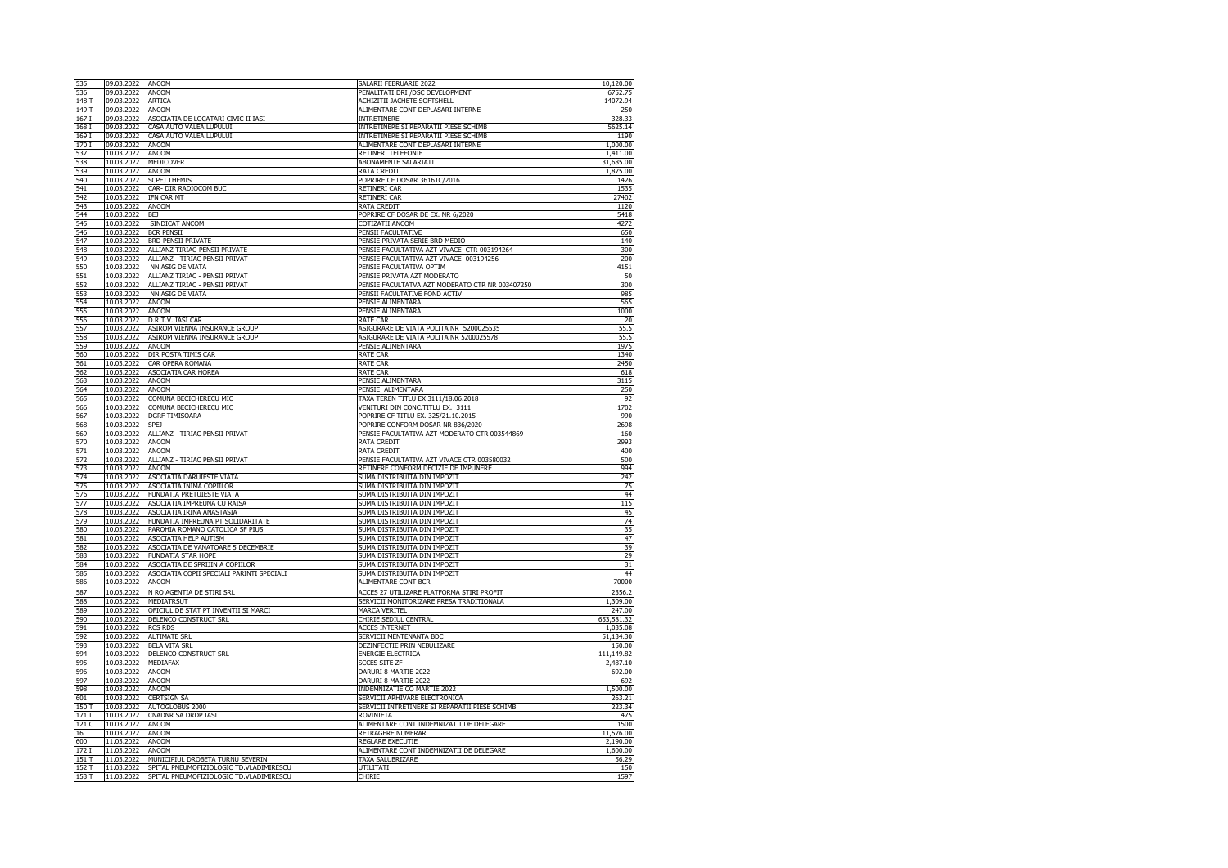| 535            | 09.03.2022               | ANCOM                                                    | SALARII FEBRUARIE 2022                                                         | 10,120.00       |
|----------------|--------------------------|----------------------------------------------------------|--------------------------------------------------------------------------------|-----------------|
| 536            | 09.03.2022               | ANCOM                                                    | PENALITATI DRI /DSC DEVELOPMENT                                                | 6752.75         |
| 148 T          | 09.03.2022               | <b>ARTICA</b>                                            | ACHIZITII JACHETE SOFTSHELL                                                    | 14072.94        |
| 149 T          | 09.03.2022               | ANCOM                                                    | ALIMENTARE CONT DEPLASARI INTERNE                                              | 250             |
| 167 I          | 09.03.2022               | ASOCIATIA DE LOCATARI CIVIC II IASI                      | INTRETINERE                                                                    | 328.33          |
| 168 I          | 09.03.2022               | CASA AUTO VALEA LUPULUI<br>CASA AUTO VALEA LUPULUI       | INTRETINERE SI REPARATII PIESE SCHIMB<br>INTRETINERE SI REPARATII PIESE SCHIMB | 5625.14<br>1190 |
| 169 I<br>170 I | 09.03.2022<br>09.03.2022 | <b>ANCOM</b>                                             | ALIMENTARE CONT DEPLASARI INTERNE                                              | 1,000.00        |
| 537            | 10.03.2022               | ANCOM                                                    | RETINERI TELEFONIE                                                             | 1,411.00        |
| 538            | 10.03.2022               | <b>MEDICOVER</b>                                         | ABONAMENTE SALARIATI                                                           | 31,685.00       |
| 539            | 10.03.2022               | ANCOM                                                    | RATA CREDIT                                                                    | 1,875.00        |
| 540            | 10.03.2022               | <b>SCPEJ THEMIS</b>                                      | POPRIRE CF DOSAR 3616TC/2016                                                   | 1426            |
| 541            | 10.03.2022               | CAR- DIR RADIOCOM BUC                                    | RETINERI CAR                                                                   | 1535            |
| 542            | 10.03.2022               | IFN CAR MT                                               | RETINERI CAR                                                                   | 27402           |
| 543            | 10.03.2022               | <b>ANCOM</b>                                             | RATA CREDIT                                                                    | 1120            |
| 544            | 10.03.2022               | BEJ                                                      | POPRIRE CF DOSAR DE EX. NR 6/2020                                              | 5418            |
| 545            | 10.03.2022               | SINDICAT ANCOM                                           | COTIZATII ANCOM                                                                | 4272            |
| 546            | 10.03.2022               | <b>BCR PENSII</b>                                        | PENSII FACULTATIVE                                                             | 650             |
| 547            | 10.03.2022               | <b>BRD PENSII PRIVATE</b>                                | PENSIE PRIVATA SERIE BRD MEDIO                                                 | 140             |
| 548            | 10.03.2022               | ALLIANZ TIRIAC-PENSII PRIVATE                            | PENSIE FACULTATIVA AZT VIVACE CTR 003194264                                    | 300             |
| 549            | 10.03.2022               | ALLIANZ - TIRIAC PENSII PRIVAT                           | PENSIE FACULTATIVA AZT VIVACE 003194256                                        | 200             |
| 550<br>551     | 10.03.2022<br>10.03.2022 | NN ASIG DE VIATA<br>ALLIANZ TIRIAC - PENSII PRIVAT       | PENSIE FACULTATIVA OPTIM<br>PENSIE PRIVATA AZT MODERATO                        | 4151<br>50      |
| 552            | 10.03.2022               | ALLIANZ TIRIAC - PENSII PRIVAT                           | PENSIE FACULTATVA AZT MODERATO CTR NR 003407250                                | 300             |
| 553            | 10.03.2022               | NN ASIG DE VIATA                                         | PENSII FACULTATIVE FOND ACTIV                                                  | 985             |
| 554            | 10.03.2022               | <b>ANCOM</b>                                             | PENSIE ALIMENTARA                                                              | 565             |
| 555            | 10.03.2022               | <b>ANCOM</b>                                             | PENSIE ALIMENTARA                                                              | 1000            |
| 556            | 10.03.2022               | D.R.T.V. IASI CAR                                        | <b>RATE CAR</b>                                                                | 20              |
| 557            | 10.03.2022               | ASIROM VIENNA INSURANCE GROUP                            | ASIGURARE DE VIATA POLITA NR 5200025535                                        | 55.5            |
| 558            | 10.03.2022               | ASIROM VIENNA INSURANCE GROUP                            | ASIGURARE DE VIATA POLITA NR 5200025578                                        | 55.5            |
| 559            | 10.03.2022               | <b>ANCOM</b>                                             | PENSIE ALIMENTARA                                                              | 1975            |
| 560            | 10.03.2022               | DIR POSTA TIMIS CAR                                      | RATE CAR                                                                       | 1340            |
| 561            | 10.03.2022               | CAR OPERA ROMANA                                         | <b>RATE CAR</b>                                                                | 2450            |
| 562            | 10.03.2022               | ASOCIATIA CAR HOREA                                      | RATE CAR                                                                       | 618             |
| 563            | 10.03.2022               | ANCOM                                                    | PENSIE ALIMENTARA                                                              | 3115            |
| 564<br>565     | 10.03.2022<br>10.03.2022 | <b>ANCOM</b>                                             | PENSIE ALIMENTARA<br>TAXA TEREN TITLU EX 3111/18.06.2018                       | 250<br>92       |
| 566            | 10.03.2022               | COMUNA BECICHERECU MIC<br>COMUNA BECICHERECU MIC         | VENITURI DIN CONC.TITLU EX.<br>311                                             | 1702            |
| 567            | 10.03.2022               | DGRF TIMISOARA                                           | POPRIRE CF TITLU EX. 325/21.10.2015                                            | 990             |
| 568            | 10.03.2022               | SPEJ                                                     | POPRIRE CONFORM DOSAR NR 836/2020                                              | 2698            |
| 569            | 10.03.2022               | ALLIANZ - TIRIAC PENSII PRIVAT                           | PENSIE FACULTATIVA AZT MODERATO CTR 003544869                                  | 160             |
| 570            | 10.03.2022               | ANCOM                                                    | RATA CREDIT                                                                    | 2993            |
| 571            | 10.03.2022               | ANCOM                                                    | RATA CREDIT                                                                    | 400             |
| 572            | 10.03.2022               | ALLIANZ - TIRIAC PENSII PRIVAT                           | PENSIE FACULTATIVA AZT VIVACE CTR 003580032                                    | 500             |
| 573            | 10.03.2022               | ANCOM                                                    | RETINERE CONFORM DECIZIE DE IMPUNERE                                           | 994             |
| 574            | 10.03.2022               | ASOCIATIA DARUIESTE VIATA                                | SUMA DISTRIBUITA DIN IMPOZIT                                                   | 242             |
| 575            | 10.03.2022               | ASOCIATIA INIMA COPIILOR                                 | SUMA DISTRIBUITA DIN IMPOZIT                                                   | 75              |
| 576            | 10.03.2022               | FUNDATIA PRETUIESTE VIATA                                | SUMA DISTRIBUITA DIN IMPOZIT                                                   | 44              |
| 577            | 10.03.2022               | ASOCIATIA IMPREUNA CU RAISA                              | SUMA DISTRIBUITA DIN IMPOZIT                                                   | 115             |
| 578            | 10.03.2022               | ASOCIATIA IRINA ANASTASIA                                | SUMA DISTRIBUITA DIN IMPOZIT                                                   | 45              |
| 579            | 10.03.2022<br>10.03.2022 | FUNDATIA IMPREUNA PT SOLIDARITATE                        | SUMA DISTRIBUITA DIN IMPOZIT<br>SUMA DISTRIBUITA DIN IMPOZIT                   | 74<br>35        |
| 580<br>581     | 10.03.2022               | PAROHIA ROMANO CATOLICA SF PIUS<br>ASOCIATIA HELP AUTISM | SUMA DISTRIBUITA DIN IMPOZIT                                                   | 47              |
| 582            | 10.03.2022               | ASOCIATIA DE VANATOARE 5 DECEMBRIE                       | SUMA DISTRIBUITA DIN IMPOZIT                                                   | 39              |
| 583            | 10.03.2022               | FUNDATIA STAR HOPE                                       | SUMA DISTRIBUITA DIN IMPOZIT                                                   | 29              |
| 584            | 10.03.2022               | ASOCIATIA DE SPRIJIN A COPIILOR                          | SUMA DISTRIBUITA DIN IMPOZIT                                                   | 31              |
| 585            | 10.03.2022               | ASOCIATIA COPII SPECIALI PARINTI SPECIALI                | SUMA DISTRIBUITA DIN IMPOZIT                                                   | 44              |
| 586            | 10.03.2022               | ANCOM                                                    | ALIMENTARE CONT BCR                                                            | 70000           |
| 587            | 10.03.2022               | N RO AGENTIA DE STIRI SRL                                | ACCES 27 UTILIZARE PLATFORMA STIRI PROFIT                                      | 2356.2          |
| 588            | 10.03.2022               | MEDIATRSUT                                               | SERVICII MONITORIZARE PRESA TRADITIONALA                                       | 1,309.00        |
| 589            | 10.03.2022               | OFICIUL DE STAT PT INVENTII SI MARCI                     | MARCA VERITEL                                                                  | 247.00          |
| 590            | 10.03.2022               | DELENCO CONSTRUCT SRL                                    | CHIRIE SEDIUL CENTRAL                                                          | 653,581.32      |
| 591            | 10.03.2022               | <b>RCS RDS</b>                                           | <b>ACCES INTERNET</b>                                                          | 1,035.08        |
| 592            | 10.03.2022               | <b>ALTIMATE SRL</b>                                      | SERVICII MENTENANTA BDC                                                        | 51,134.30       |
| 593            | 10.03.2022               | BELA VITA SRL                                            | DEZINFECTIE PRIN NEBULIZARE                                                    | 150.00          |
| 594            | 10.03.2022               | DELENCO CONSTRUCT SRL                                    | ENERGIE ELECTRICA                                                              | 111,149.82      |
| 595            | 10.03.2022               | MEDIAFAX                                                 | <b>SCCES SITE ZF</b>                                                           | 2,487.10        |
| 596<br>597     | 10.03.2022               | ANCOM                                                    | DARURI 8 MARTIE 2022                                                           | 692.00          |
| 598            | 10.03.2022<br>10.03.2022 | ANCOM<br>ANCOM                                           | DARURI 8 MARTIE 2022<br>INDEMNIZATIE CO MARTIE 2022                            | 692<br>1,500.00 |
| 601            | 10.03.2022               | <b>CERTSIGN SA</b>                                       | SERVICII ARHIVARE ELECTRONICA                                                  | 263.21          |
| 150 T          | 10.03.2022               | AUTOGLOBUS 2000                                          | SERVICII INTRETINERE SI REPARATII PIESE SCHIMB                                 | 223.34          |
| 171 I          | 10.03.2022               | CNADNR SA DRDP IASI                                      | <b>ROVINIFTA</b>                                                               | 475             |
| 121 C          | 10.03.2022               | ANCOM                                                    | ALIMENTARE CONT INDEMNIZATII DE DELEGARE                                       | 1500            |
| 16             | 10.03.2022               | ANCOM                                                    | RETRAGERE NUMERAR                                                              | 11,576.00       |
| 600            | 11.03.2022               | ANCOM                                                    | REGLARE EXECUTIE                                                               | 2,190.00        |
| 172I           | 11.03.2022               | ANCOM                                                    | ALIMENTARE CONT INDEMNIZATII DE DELEGARE                                       | 1,600.00        |
| 151T           | 11.03.2022               | MUNICIPIUL DROBETA TURNU SEVERIN                         | TAXA SALUBRIZARE                                                               | 56.29           |
| 152 T          | 11.03.2022               | SPITAL PNEUMOFIZIOLOGIC TD.VLADIMIRESCU                  | UTILITATI                                                                      | 150             |
| 153 T          | 11.03.2022               | SPITAL PNEUMOFIZIOLOGIC TD.VLADIMIRESCU                  | CHIRIE                                                                         | 1597            |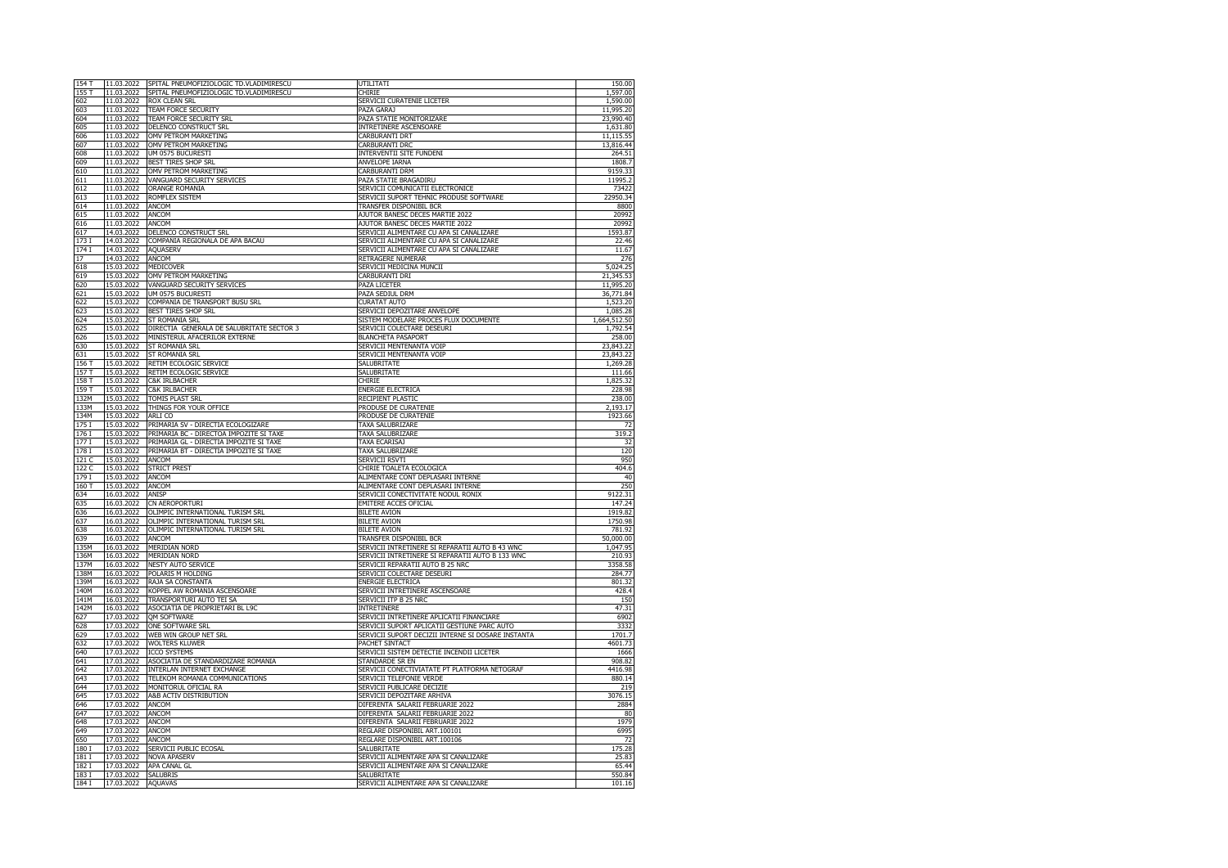| 154 T           | 11.03.2022 | SPITAL PNEUMOFIZIOLOGIC TD.VLADIMIRESCU   | UTILITATI                                          | 150.00       |
|-----------------|------------|-------------------------------------------|----------------------------------------------------|--------------|
|                 |            |                                           |                                                    |              |
| 155 T           | 11.03.2022 | SPITAL PNEUMOFIZIOLOGIC TD.VLADIMIRESCU   | CHIRIE                                             | 1,597.00     |
| 602             | 11.03.2022 | <b>ROX CLEAN SRL</b>                      | SERVICII CURATENIE LICETER                         | 1,590.00     |
| 603             | 11.03.2022 | TEAM FORCE SECURITY                       | PAZA GARAJ                                         | 11,995.20    |
| 604             | 11.03.2022 | TEAM FORCE SECURITY SRL                   | PAZA STATIE MONITORIZARE                           | 23,990.40    |
| 605             | 11.03.2022 | DELENCO CONSTRUCT SRL                     | INTRETINERE ASCENSOARE                             | 1,631.80     |
|                 |            |                                           |                                                    |              |
| 606             | 11.03.2022 | OMV PETROM MARKETING                      | <b>CARBURANTI DRT</b>                              | 11,115.55    |
| 607             | 11.03.2022 | OMV PETROM MARKETING                      | <b>CARBURANTI DRC</b>                              | 13,816.44    |
| 608             | 11.03.2022 | UM 0575 BUCURESTI                         | INTERVENTII SITE FUNDENI                           | 264.51       |
|                 | 11.03.2022 | <b>BEST TIRES SHOP SRL</b>                |                                                    |              |
| 609             |            |                                           | ANVELOPE IARNA                                     | 1808.7       |
| 610             | 11.03.2022 | OMV PETROM MARKETING                      | <b>CARBURANTI DRM</b>                              | 9159.33      |
| 611             | 11.03.2022 | VANGUARD SECURITY SERVICES                | PAZA STATIE BRAGADIRU                              | 11995.2      |
| 612             | 11.03.2022 | ORANGE ROMANIA                            | SERVICII COMUNICATII ELECTRONICE                   | 73422        |
|                 |            |                                           |                                                    |              |
| 613             | 11.03.2022 | ROMFLEX SISTEM                            | SERVICII SUPORT TEHNIC PRODUSE SOFTWARE            | 22950.34     |
| 614             | 11.03.2022 | ANCOM                                     | TRANSFER DISPONIBIL BCR                            | 8800         |
| 615             | 11.03.2022 | ANCOM                                     | AJUTOR BANESC DECES MARTIE 2022                    | 20992        |
| 616             | 11.03.2022 | ANCOM                                     | AJUTOR BANESC DECES MARTIE 2022                    | 20992        |
| 617             | 14.03.2022 | DELENCO CONSTRUCT SRL                     | SERVICII ALIMENTARE CU APA SI CANALIZARE           | 1593.87      |
|                 |            |                                           |                                                    |              |
| 173 I           | 14.03.2022 | COMPANIA REGIONALA DE APA BACAU           | SERVICII ALIMENTARE CU APA SI CANALIZARE           | 22.46        |
| 174 I           | 14.03.2022 | <b>AQUASERV</b>                           | SERVICII ALIMENTARE CU APA SI CANALIZARE           | 11.67        |
| $\overline{17}$ | 14.03.2022 | ANCOM                                     | <b>RETRAGERE NUMERAR</b>                           | 276          |
|                 |            |                                           |                                                    |              |
| 618             | 15.03.2022 | MEDICOVER                                 | SERVICII MEDICINA MUNCII                           | 5,024.25     |
| 619             | 15.03.2022 | OMV PETROM MARKETING                      | CARBURANTI DRI                                     | 21,345.53    |
| 620             | 15.03.2022 | VANGUARD SECURITY SERVICES                | <b>PAZA LICETER</b>                                | 11,995.20    |
| 621             | 15.03.2022 | UM 0575 BUCURESTI                         | PAZA SEDIUL DRM                                    | 36,771.84    |
|                 |            | COMPANIA DE TRANSPORT BUSU SRL            |                                                    |              |
| 622             | 15.03.2022 |                                           | <b>CURATAT AUTO</b>                                | 1,523.20     |
| 623             | 15.03.2022 | BEST TIRES SHOP SRL                       | SERVICII DEPOZITARE ANVELOPE                       | 1,085.28     |
| 624             | 15.03.2022 | ST ROMANIA SRL                            | SISTEM MODELARE PROCES FLUX DOCUMENTE              | 1,664,512.50 |
| 625             | 15.03.2022 | DIRECTIA GENERALA DE SALUBRITATE SECTOR 3 | SERVICII COLECTARE DESEURI                         | 1,792.54     |
|                 |            |                                           |                                                    |              |
| 626             | 15.03.2022 | MINISTERUL AFACERILOR EXTERNE             | <b>BLANCHETA PASAPORT</b>                          | 258.00       |
| 630             | 15.03.2022 | ST ROMANIA SRL                            | SERVICII MENTENANTA VOIP                           | 23,843.22    |
| 631             | 15.03.2022 | ST ROMANIA SRL                            | SERVICII MENTENANTA VOIP                           | 23,843.22    |
| 156 T           | 15.03.2022 | RETIM ECOLOGIC SERVICE                    | SALUBRITATE                                        | 1,269.28     |
| 157T            | 15.03.2022 | RETIM ECOLOGIC SERVICE                    | SALUBRITATE                                        | 111.66       |
|                 |            |                                           |                                                    |              |
| 158 T           | 15.03.2022 | C&K IRLBACHER                             | CHIRIE                                             | 1,825.32     |
| 159 T           | 15.03.2022 | C&K IRLBACHER                             | <b>ENERGIE ELECTRICA</b>                           | 228.98       |
| 132M            | 15.03.2022 | TOMIS PLAST SRL                           | <b>RECIPIENT PLASTIC</b>                           | 238.00       |
|                 |            |                                           |                                                    |              |
| 133M            | 15.03.2022 | THINGS FOR YOUR OFFICE                    | PRODUSE DE CURATENIE                               | 2,193.17     |
| 134M            | 15.03.2022 | ARLI CO                                   | PRODUSE DE CURATENIE                               | 1923.66      |
| 175 I           | 15.03.2022 | PRIMARIA SV - DIRECTIA ECOLOGIZARE        | TAXA SALUBRIZARE                                   | 72           |
| 176 I           | 15.03.2022 | PRIMARIA BC - DIRECTOA IMPOZITE SI TAXE   | TAXA SALUBRIZARE                                   | 319.2        |
|                 |            |                                           |                                                    |              |
| 177 I           | 15.03.2022 | PRIMARIA GL - DIRECTIA IMPOZITE SI TAXE   | TAXA ECARISAJ                                      | 32           |
| 178 I           | 15.03.2022 | PRIMARIA BT - DIRECTIA IMPOZITE SI TAXE   | TAXA SALUBRIZARE                                   | 120          |
| 121 C           | 15.03.2022 | ANCOM                                     | SERVICII RSVTI                                     | 950          |
| 122 C           | 15.03.2022 | <b>STRICT PREST</b>                       | CHIRIE TOALETA ECOLOGICA                           | 404.6        |
|                 |            |                                           |                                                    |              |
| 179 I           | 15.03.2022 | ANCOM                                     | ALIMENTARE CONT DEPLASARI INTERNE                  | 40           |
| 160T            | 15.03.2022 | ANCOM                                     | ALIMENTARE CONT DEPLASARI INTERNE                  | 250          |
| 634             | 16.03.2022 | ANISP                                     | SERVICII CONECTIVITATE NODUL RONIX                 | 9122.31      |
|                 |            |                                           |                                                    | 147.24       |
| 635             | 16.03.2022 | CN AEROPORTURI                            | <b>EMITERE ACCES OFICIAL</b>                       |              |
| 636             | 16.03.2022 | OLIMPIC INTERNATIONAL TURISM SRL          | <b>BILETE AVION</b>                                | 1919.82      |
| 637             | 16.03.2022 | OLIMPIC INTERNATIONAL TURISM SRL          | <b>BILETE AVION</b>                                | 1750.98      |
| 638             | 16.03.2022 | OLIMPIC INTERNATIONAL TURISM SRL          | <b>BILETE AVION</b>                                | 781.92       |
|                 |            |                                           |                                                    |              |
| 639             | 16.03.2022 | ANCOM                                     | TRANSFER DISPONIBIL BCR                            | 50,000.00    |
| 135M            | 16.03.2022 | <b>MERIDIAN NORD</b>                      | SERVICII INTRETINERE SI REPARATII AUTO B 43 WNC    | 1,047.95     |
| 136M            | 16.03.2022 | <b>MERIDIAN NORD</b>                      | SERVICII INTRETINERE SI REPARATII AUTO B 133 WNC   | 210.93       |
| 137M            | 16.03.2022 | NESTY AUTO SERVICE                        | SERVICII REPARATII AUTO B 25 NRC                   | 3358.58      |
|                 |            |                                           |                                                    |              |
| 138M            | 16.03.2022 | POLARIS M HOLDING                         | SERVICII COLECTARE DESEURI                         | 284.77       |
| 139M            | 16.03.2022 | RAJA SA CONSTANTA                         | ENERGIE ELECTRICA                                  | 801.32       |
| 140M            | 16.03.2022 | KOPPEL AW ROMANIA ASCENSOARE              | SERVICII INTRETINERE ASCENSOARE                    | 428.4        |
| 141M            | 16.03.2022 | TRANSPORTURI AUTO TEI SA                  | SERVICII ITP B 25 NRC                              | 150          |
|                 |            |                                           | INTRETINERE                                        | 47.31        |
| 142M            | 16.03.2022 | ASOCIATIA DE PROPRIETARI BL L9C           |                                                    |              |
| 627             | 17.03.2022 | <b>QM SOFTWARE</b>                        | SERVICII INTRETINERE APLICATII FINANCIARE          | 6902         |
| 628             | 17.03.2022 | <b>ONE SOFTWARE SRL</b>                   | SERVICII SUPORT APLICATII GESTIUNE PARC AUTO       | 3332         |
| 629             | 17.03.2022 | WEB WIN GROUP NET SRL                     | SERVICII SUPORT DECIZII INTERNE SI DOSARE INSTANTA | 1701.7       |
|                 | 17.03.2022 |                                           | <b>PACHET SINTACT</b>                              |              |
| 632             |            | <b>WOLTERS KLUWER</b>                     |                                                    | 4601.73      |
| 640             | 17.03.2022 | <b>ICCO SYSTEMS</b>                       | SERVICII SISTEM DETECTIE INCENDII LICETER          | 1666         |
| 641             | 17.03.2022 | ASOCIATIA DE STANDARDIZARE ROMANIA        | STANDARDE SR EN                                    | 908.82       |
| 642             | 17.03.2022 | INTERLAN INTERNET EXCHANGE                | SERVICII CONECTIVIATATE PT PLATFORMA NETOGRAF      | 4416.98      |
|                 |            | TELEKOM ROMANIA COMMUNICATIONS            |                                                    |              |
| 643             | 17.03.2022 |                                           | SERVICII TELEFONIE VERDE                           | 880.14       |
| 644             | 17.03.2022 | MONITORUL OFICIAL RA                      | SERVICII PUBLICARE DECIZIE                         | 219          |
| 645             | 17.03.2022 | A&B ACTIV DISTRIBUTION                    | SERVICII DEPOZITARE ARHIVA                         | 3076.15      |
| 646             | 17.03.2022 | ANCOM                                     | DIFERENTA SALARII FEBRUARIE 2022                   | 2884         |
|                 |            |                                           |                                                    |              |
| 647             | 17.03.2022 | ANCOM                                     | DIFERENTA SALARII FEBRUARIE 2022                   | 80           |
| 648             | 17.03.2022 | ANCOM                                     | DIFERENTA SALARII FEBRUARIE 2022                   | 1979         |
| 649             | 17.03.2022 | ANCOM                                     | REGLARE DISPONIBIL ART.100101                      | 6995         |
|                 |            |                                           |                                                    | 72           |
| 650             | 17.03.2022 | <b>ANCOM</b>                              | REGLARE DISPONIBIL ART.100106                      |              |
| 1801            | 17.03.2022 | SERVICII PUBLIC ECOSAL                    | <b>SALUBRITATE</b>                                 | 175.28       |
| 181 I           | 17.03.2022 | <b>NOVA APASERV</b>                       | SERVICII ALIMENTARE APA SI CANALIZARE              | 25.83        |
| 182 I           | 17.03.2022 | APA CANAL GL                              | SERVICII ALIMENTARE APA SI CANALIZARE              | 65.44        |
|                 |            |                                           |                                                    |              |
| 183 I           | 17.03.2022 | <b>SALUBRIS</b>                           | SALUBRITATE                                        | 550.84       |
| 184 I           | 17.03.2022 | <b>AQUAVAS</b>                            | SERVICII ALIMENTARE APA SI CANALIZARE              | 101.16       |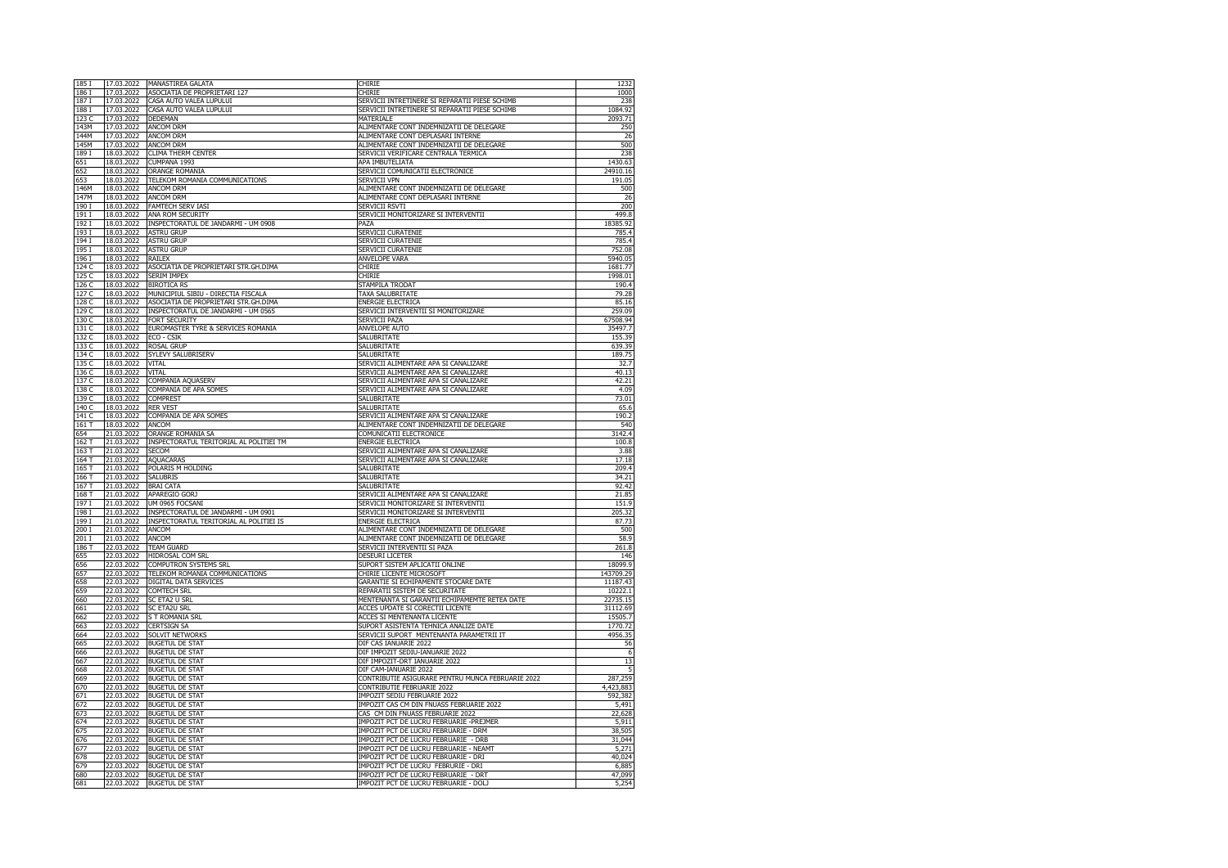| 185 I | 17.03.2022 | MANASTIREA GALATA                       | CHIRIE                                            | 1232           |
|-------|------------|-----------------------------------------|---------------------------------------------------|----------------|
| 186 I | 17.03.2022 | ASOCIATIA DE PROPRIETARI 127            | CHIRIE                                            | 1000           |
|       |            |                                         |                                                   |                |
| 187 I | 17.03.2022 | CASA AUTO VALEA LUPULUI                 | SERVICII INTRETINERE SI REPARATII PIESE SCHIMB    | 238            |
| 188 I | 17.03.2022 | CASA AUTO VALEA LUPULUI                 | SERVICII INTRETINERE SI REPARATII PIESE SCHIMB    | 1084.92        |
| 123 C | 17.03.2022 | DEDEMAN                                 | MATERIALE                                         | 2093.71        |
| 143M  | 17.03.2022 | ANCOM DRM                               | ALIMENTARE CONT INDEMNIZATII DE DELEGARE          | 250            |
| 144M  | 17.03.2022 | ANCOM DRM                               | ALIMENTARE CONT DEPLASARI INTERNE                 | 26             |
| 145M  | 17.03.2022 | ANCOM DRM                               | ALIMENTARE CONT INDEMNIZATII DE DELEGARE          | 500            |
|       |            |                                         |                                                   |                |
| 189 I | 18.03.2022 | CLIMA THERM CENTER                      | SERVICII VERIFICARE CENTRALA TERMICA              | 238            |
| 651   | 18.03.2022 | CUMPANA 1993                            | APA IMBUTELIATA                                   | 1430.63        |
| 652   | 18.03.2022 | <b>ORANGE ROMANIA</b>                   | SERVICII COMUNICATII ELECTRONICE                  | 24910.16       |
| 653   | 18.03.2022 | TELEKOM ROMANIA COMMUNICATIONS          | SERVICII VPN                                      | 191.05         |
| 146M  | 18.03.2022 | ANCOM DRM                               | ALIMENTARE CONT INDEMNIZATII DE DELEGARE          | 500            |
| 147M  | 18.03.2022 | <b>ANCOM DRM</b>                        | ALIMENTARE CONT DEPLASARI INTERNE                 | 26             |
| 190 I | 18.03.2022 | <b>FAMTECH SERV IASI</b>                | SERVICII RSVTI                                    | 200            |
|       |            |                                         |                                                   |                |
| 191 I | 18.03.2022 | ANA ROM SECURITY                        | SERVICII MONITORIZARE SI INTERVENTII              | 499.8          |
| 192 I | 18.03.2022 | INSPECTORATUL DE JANDARMI - UM 0908     | PAZA                                              | 18385.92       |
| 193 I | 18.03.2022 | <b>ASTRU GRUP</b>                       | SERVICII CURATENIE                                | 785.4          |
| 194 I | 18.03.2022 | <b>ASTRU GRUP</b>                       | SERVICII CURATENIE                                | 785.4          |
| 195 I | 18.03.2022 | <b>ASTRU GRUP</b>                       | SERVICII CURATENIE                                | 752.08         |
| 196 I | 18.03.2022 | RAILEX                                  | <b>ANVELOPE VARA</b>                              | 5940.05        |
|       |            |                                         |                                                   |                |
| 124 C | 18.03.2022 | ASOCIATIA DE PROPRIETARI STR.GH.DIMA    | CHIRIE                                            | 1681.77        |
| 125 C | 18.03.2022 | SERIM IMPEX                             | CHIRIE                                            | 1998.01        |
| 126 C | 18.03.2022 | <b>BIROTICA RS</b>                      | STAMPILA TRODAT                                   | 190.4          |
| 127 C | 18.03.2022 | MUNICIPIUL SIBIU - DIRECTIA FISCALA     | <b>TAXA SALUBRITATE</b>                           | 79.28          |
| 128 C | 18.03.2022 | ASOCIATIA DE PROPRIETARI STR.GH.DIMA    | ENERGIE ELECTRICA                                 | 85.16          |
| 129 C | 18.03.2022 | INSPECTORATUL DE JANDARMI - UM 0565     | SERVICII INTERVENTII SI MONITORIZARE              | 259.09         |
| 130 C | 18.03.2022 | FORT SECURITY                           | SERVICII PAZA                                     | 67508.94       |
|       |            |                                         |                                                   |                |
| 131 C | 18.03.2022 | EUROMASTER TYRE & SERVICES ROMANIA      | ANVELOPE AUTO                                     | 35497.7        |
| 132 C | 18.03.2022 | ECO - CSIK                              | SALUBRITATE                                       | 155.39         |
| 133 C | 18.03.2022 | <b>ROSAL GRUP</b>                       | SALUBRITATE                                       | 639.39         |
| 134 C | 18.03.2022 | SYLEVY SALUBRISERV                      | SALUBRITATE                                       | 189.75         |
| 135 C | 18.03.2022 | VITAL                                   | SERVICII ALIMENTARE APA SI CANALIZARE             | 32.7           |
| 136 C | 18.03.2022 | VITAL                                   | SERVICII ALIMENTARE APA SI CANALIZARE             | 40.13          |
| 137 C | 18.03.2022 | COMPANIA AQUASERV                       | SERVICII ALIMENTARE APA SI CANALIZARE             | 42.21          |
|       |            |                                         |                                                   |                |
| 138 C | 18.03.2022 | COMPANIA DE APA SOMES                   | SERVICII ALIMENTARE APA SI CANALIZARE             | 4.09           |
| 139 C | 18.03.2022 | <b>COMPREST</b>                         | SALUBRITATE                                       | 73.01          |
| 140 C | 18.03.2022 | <b>RER VEST</b>                         | SALUBRITATE                                       | 65.6           |
| 141C  | 18.03.2022 | <b>COMPANIA DE APA SOMES</b>            | SERVICII ALIMENTARE APA SI CANALIZARE             | 190.2          |
| 161 T | 18.03.2022 | ANCOM                                   | ALIMENTARE CONT INDEMNIZATII DE DELEGARE          | 540            |
| 654   | 21.03.2022 | ORANGE ROMANIA SA                       | COMUNICATII ELECTRONICE                           | 3142.4         |
| 162 T | 21.03.2022 | INSPECTORATUL TERITORIAL AL POLITIEI TM | ENERGIE ELECTRICA                                 | 100.8          |
| 163T  | 21.03.2022 | <b>SECOM</b>                            | SERVICII ALIMENTARE APA SI CANALIZARE             | 3.88           |
|       |            |                                         |                                                   |                |
| 164 T | 21.03.2022 | <b>AQUACARAS</b>                        | SERVICII ALIMENTARE APA SI CANALIZARE             | 17.18          |
| 165 T | 21.03.2022 | POLARIS M HOLDING                       | SALUBRITATE                                       | 209.4          |
| 166 T | 21.03.2022 | <b>SALUBRIS</b>                         | SALUBRITATE                                       | 34.21          |
| 167T  | 21.03.2022 | <b>BRAI CATA</b>                        | SALUBRITATE                                       | 92.42          |
| 168 T | 21.03.2022 | APAREGIO GORJ                           | SERVICII ALIMENTARE APA SI CANALIZARE             | 21.85          |
| 197I  | 21.03.2022 | UM 0965 FOCSANI                         | SERVICII MONITORIZARE SI INTERVENTII              | 151.9          |
| 198 I | 21.03.2022 | INSPECTORATUL DE JANDARMI - UM 0901     | SERVICII MONITORIZARE SI INTERVENTII              | 205.32         |
| 199 I | 21.03.2022 | INSPECTORATUL TERITORIAL AL POLITIEI IS | <b>ENERGIE ELECTRICA</b>                          | 87.73          |
| 200 I | 21.03.2022 | ANCOM                                   | ALIMENTARE CONT INDEMNIZATII DE DELEGARE          | 500            |
|       |            |                                         |                                                   |                |
| 201 I | 21.03.2022 | ANCOM                                   | ALIMENTARE CONT INDEMNIZATII DE DELEGARE          | 58.9           |
| 186 T | 22.03.2022 | <b>TEAM GUARD</b>                       | SERVICII INTERVENTII SI PAZA                      | 261.8          |
| 655   | 22.03.2022 | HIDROSAL COM SRL                        | DESEURI LICETER                                   | 146            |
| 656   | 22.03.2022 | COMPUTRON SYSTEMS SRL                   | SUPORT SISTEM APLICATII ONLINE                    | 18099.9        |
| 657   | 22.03.2022 | TELEKOM ROMANIA COMMUNICATIONS          | CHIRIE LICENTE MICROSOFT                          | 143709.29      |
| 658   | 22.03.2022 | DIGITAL DATA SERVICES                   | GARANTIE SI ECHIPAMENTE STOCARE DATE              | 11187.43       |
| 659   | 22.03.2022 | <b>COMTECH SRL</b>                      | REPARATII SISTEM DE SECURITATE                    | 10222.1        |
|       |            |                                         |                                                   |                |
| 660   | 22.03.2022 | SC ETA2 U SRL                           | MENTENANTA SI GARANTII ECHIPAMEMTE RETEA DATE     | 22735.15       |
| 661   | 22.03.2022 | <b>SC ETA2U SRL</b>                     | ACCES UPDATE SI CORECTII LICENTE                  | 31112.69       |
| 662   | 22.03.2022 | <b>S T ROMANIA SRL</b>                  | ACCES SI MENTENANTA LICENTE                       | 15505.7        |
| 663   | 22.03.2022 | <b>CERTSIGN SA</b>                      | SUPORT ASISTENTA TEHNICA ANALIZE DATE             | 1770.72        |
| 664   | 22.03.2022 | SOLVIT NETWORKS                         | SERVICII SUPORT MENTENANTA PARAMETRII IT          | 4956.35        |
| 665   | 22.03.2022 | <b>BUGETUL DE STAT</b>                  | DIF CAS IANUARIE 2022                             | 56             |
| 666   | 22.03.2022 | <b>BUGETUL DE STAT</b>                  | DIF IMPOZIT SEDIU-IANUARIE 2022                   | $\overline{6}$ |
| 667   | 22.03.2022 | <b>BUGETUL DE STAT</b>                  | DIF IMPOZIT-DRT IANUARIE 2022                     | 13             |
| 668   | 22.03.2022 | <b>BUGETUL DE STAT</b>                  | DIF CAM-IANUARIE 2022                             | $\overline{5}$ |
|       |            |                                         |                                                   |                |
| 669   | 22.03.2022 | <b>BUGETUL DE STAT</b>                  | CONTRIBUTIE ASIGURARE PENTRU MUNCA FEBRUARIE 2022 | 287,259        |
| 670   | 22.03.2022 | <b>BUGETUL DE STAT</b>                  | <b>CONTRIBUTIE FEBRUARIE 2022</b>                 | 4,423,883      |
| 671   | 22.03.2022 | <b>BUGETUL DE STAT</b>                  | IMPOZIT SEDIU FEBRUARIE 2022                      | 592,382        |
| 672   | 22.03.2022 | <b>BUGETUL DE STAT</b>                  | IMPOZIT CAS CM DIN FNUASS FEBRUARIE 2022          | 5,491          |
| 673   | 22.03.2022 | <b>BUGETUL DE STAT</b>                  | CAS CM DIN FNUASS FEBRUARIE 2022                  | 22,628         |
| 674   | 22.03.2022 | <b>BUGETUL DE STAT</b>                  | IMPOZIT PCT DE LUCRU FEBRUARIE -PREJMER           | 5,911          |
| 675   | 22.03.2022 | <b>BUGETUL DE STAT</b>                  | IMPOZIT PCT DE LUCRU FEBRUARIE - DRM              | 38,505         |
| 676   | 22.03.2022 | <b>BUGETUL DE STAT</b>                  | IMPOZIT PCT DE LUCRU FEBRUARIE - DRB              | 31,044         |
|       |            |                                         |                                                   |                |
| 677   | 22.03.2022 | <b>BUGETUL DE STAT</b>                  | IMPOZIT PCT DE LUCRU FEBRUARIE - NEAMT            | 5,271          |
| 678   | 22.03.2022 | <b>BUGETUL DE STAT</b>                  | IMPOZIT PCT DE LUCRU FEBRUARIE - DRI              | 40,024         |
| 679   | 22.03.2022 | <b>BUGETUL DE STAT</b>                  | IMPOZIT PCT DE LUCRU FEBRURIE - DRI               | 6,885          |
| 680   | 22.03.2022 | <b>BUGETUL DE STAT</b>                  | IMPOZIT PCT DE LUCRU FEBRUARIE - DRT              | 47,099         |
| 681   | 22.03.2022 | <b>BUGETUL DE STAT</b>                  | IMPOZIT PCT DE LUCRU FEBRUARIE - DOLJ             | 5,254          |
|       |            |                                         |                                                   |                |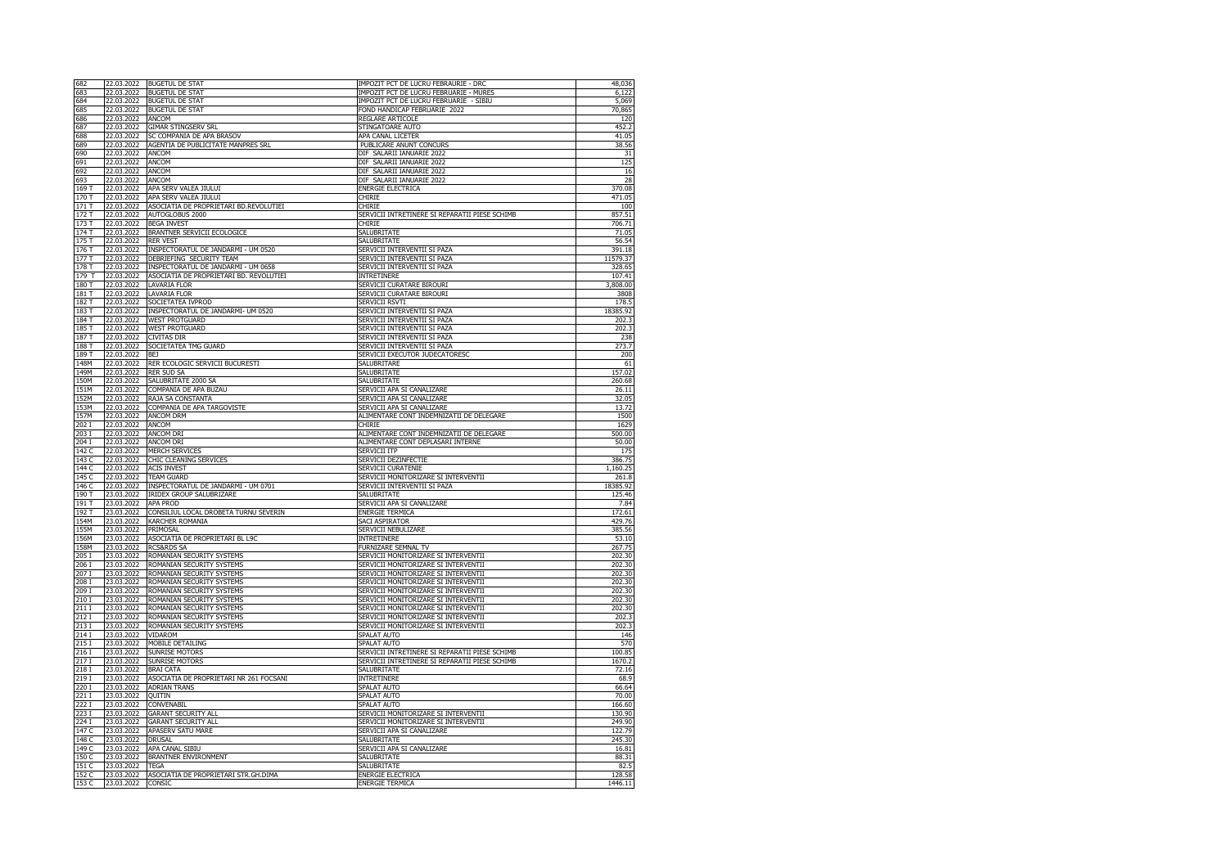| 682   | 22.03.2022 | <b>BUGETUL DE STAT</b>                  | IMPOZIT PCT DE LUCRU FEBRAURIE - DRC           | 48,036   |
|-------|------------|-----------------------------------------|------------------------------------------------|----------|
| 683   | 22.03.2022 | <b>BUGETUL DE STAT</b>                  | IMPOZIT PCT DE LUCRU FEBRUARIE - MURES         | 6,122    |
| 684   | 22.03.2022 | <b>BUGETUL DE STAT</b>                  | IMPOZIT PCT DE LUCRU FEBRUARIE - SIBIU         | 5,069    |
| 685   | 22.03.2022 | <b>BUGETUL DE STAT</b>                  | FOND HANDICAP FEBRUARIE 2022                   | 70,865   |
| 686   | 22.03.2022 | <b>ANCOM</b>                            | <b>REGLARE ARTICOLE</b>                        | 120      |
|       |            |                                         |                                                |          |
| 687   | 22.03.2022 | GIMAR STINGSERV SRL                     | STINGATOARE AUTO                               | 452.2    |
| 688   | 22.03.2022 | SC COMPANIA DE APA BRASOV               | APA CANAL LICETER                              | 41.05    |
| 689   | 22.03.2022 | AGENTIA DE PUBLICITATE MANPRES SRL      | PUBLICARE ANUNT CONCURS                        | 38.56    |
| 690   | 22.03.2022 | ANCOM                                   | DIF SALARII IANUARIE 2022                      | 31       |
| 691   | 22.03.2022 | ANCOM                                   | DIF SALARII IANUARIE 2022                      | 125      |
| 692   | 22.03.2022 | ANCOM                                   | DIF SALARII IANUARIE 2022                      | 16       |
| 693   | 22.03.2022 | ANCOM                                   | DIF SALARII IANUARIE 2022                      | 28       |
| 169 T | 22.03.2022 | APA SERV VALEA JIULUI                   |                                                | 370.08   |
|       |            |                                         | <b>ENERGIE ELECTRICA</b>                       |          |
| 170 T | 22.03.2022 | APA SERV VALEA JIULUI                   | CHIRIF                                         | 471.05   |
| 171 T | 22.03.2022 | ASOCIATIA DE PROPRIETARI BD.REVOLUTIEI  | CHIRIF                                         | 100      |
| 172 T | 22.03.2022 | AUTOGLOBUS 2000                         | SERVICII INTRETINERE SI REPARATII PIESE SCHIMB | 857.51   |
| 173T  | 22.03.2022 | <b>BEGA INVEST</b>                      | CHIRIF                                         | 706.71   |
| 174 T | 22.03.2022 | BRANTNER SERVICII ECOLOGICE             | SALUBRITATE                                    | 71.05    |
| 175 T | 22.03.2022 | <b>RER VEST</b>                         | SALUBRITATE                                    | 56.54    |
| 176 T | 22.03.2022 | INSPECTORATUL DE JANDARMI - UM 0520     | SERVICII INTERVENTII SI PAZA                   | 391.18   |
| 177 T | 22.03.2022 | DEBRIEFING SECURITY TEAM                | SERVICII INTERVENTII SI PAZA                   | 11579.37 |
|       |            |                                         |                                                |          |
| 178 T | 22.03.2022 | INSPECTORATUL DE JANDARMI - UM 0658     | SERVICII INTERVENTII SI PAZA                   | 328.65   |
| 179 T | 22.03.2022 | ASOCIATIA DE PROPRIETARI BD. REVOLUTIEI | <b>INTRETINERE</b>                             | 107.41   |
| 180 T | 22.03.2022 | LAVARIA FLOR                            | SERVICII CURATARE BIROURI                      | 3,808.00 |
| 181 T | 22.03.2022 | LAVARIA FLOR                            | SERVICII CURATARE BIROURI                      | 3808     |
| 182 T | 22.03.2022 | SOCIETATEA IVPROD                       | SERVICII RSVTI                                 | 178.5    |
| 183 T | 22.03.2022 | INSPECTORATUL DE JANDARMI- UM 0520      | SERVICII INTERVENTII SI PAZA                   | 18385.92 |
|       |            |                                         |                                                |          |
| 184 T | 22.03.2022 | WEST PROTGUARD                          | SERVICII INTERVENTII SI PAZA                   | 202.3    |
| 185 T | 22.03.2022 | WEST PROTGUARD                          | SERVICII INTERVENTII SI PAZA                   | 202.3    |
| 187T  | 22.03.2022 | CIVITAS DIR                             | SERVICII INTERVENTII SI PAZA                   | 238      |
| 188 T | 22.03.2022 | SOCIETATEA TMG GUARD                    | SERVICII INTERVENTII SI PAZA                   | 273.7    |
| 189 T | 22.03.2022 | <b>BEJ</b>                              | SERVICII EXECUTOR JUDECATORESC                 | 200      |
| 148M  | 22.03.2022 | RER ECOLOGIC SERVICII BUCURESTI         | SALUBRITARE                                    | 61       |
| 149M  | 22.03.2022 | <b>RER SUD SA</b>                       | SALUBRITATE                                    | 157.02   |
| 150M  | 22.03.2022 | SALUBRITATE 2000 SA                     | SALUBRITATE                                    | 260.68   |
|       |            |                                         |                                                |          |
| 151M  | 22.03.2022 | COMPANIA DE APA BUZAU                   | SERVICII APA SI CANALIZARE                     | 26.11    |
| 152M  | 22.03.2022 | RAJA SA CONSTANTA                       | SERVICII APA SI CANALIZARE                     | 32.05    |
| 153M  | 22.03.2022 | COMPANIA DE APA TARGOVISTE              | SERVICII APA SI CANALIZARE                     | 13.72    |
| 157M  | 22.03.2022 | ANCOM DRM                               | ALIMENTARE CONT INDEMNIZATII DE DELEGARE       | 1500     |
| 202I  | 22.03.2022 | <b>ANCOM</b>                            | CHIRIF                                         | 1629     |
| 203 I | 22.03.2022 | ANCOM DRI                               | ALIMENTARE CONT INDEMNIZATII DE DELEGARE       | 500.00   |
|       |            |                                         |                                                |          |
| 204 I | 22.03.2022 | ANCOM DRI                               | ALIMENTARE CONT DEPLASARI INTERNE              | 50.00    |
| 142 C | 22.03.2022 | <b>MERCH SERVICES</b>                   | <b>SERVICII ITP</b>                            | 175      |
| 143 C | 22.03.2022 | CHIC CLEANING SERVICES                  | SERVICII DEZINFECTIE                           | 386.75   |
| 144 C | 22.03.2022 | <b>ACIS INVEST</b>                      | SERVICII CURATENIE                             | 1,160.25 |
| 145 C | 22.03.2022 | <b>TEAM GUARD</b>                       | SERVICII MONITORIZARE SI INTERVENTII           | 261.8    |
| 146 C | 22.03.2022 | INSPECTORATUL DE JANDARMI - UM 0701     | SERVICII INTERVENTII SI PAZA                   | 18385.92 |
| 190 T | 23.03.2022 | IRIDEX GROUP SALUBRIZARE                | SALUBRITATE                                    | 125.46   |
| 191 T | 23.03.2022 | <b>APA PROD</b>                         |                                                | 7.84     |
|       |            |                                         | SERVICII APA SI CANALIZARE                     |          |
| 192 T | 23.03.2022 | CONSILIUL LOCAL DROBETA TURNU SEVERIN   | <b>ENERGIE TERMICA</b>                         | 172.61   |
| 154M  | 23.03.2022 | KARCHER ROMANIA                         | SACI ASPIRATOR                                 | 429.76   |
| 155M  | 23.03.2022 | PRIMOSAL                                | SERVICII NEBULIZARE                            | 385.56   |
| 156M  | 23.03.2022 | ASOCIATIA DE PROPRIETARI BL L9C         | <b>INTRETINERE</b>                             | 53.10    |
| 158M  | 23.03.2022 | <b>RCS&amp;RDS SA</b>                   | FURNIZARE SEMNAL TV                            | 267.75   |
| 205 I | 23.03.2022 | ROMANIAN SECURITY SYSTEMS               | SERVICII MONITORIZARE SI INTERVENTII           | 202.30   |
| 206 I | 23.03.2022 | ROMANIAN SECURITY SYSTEMS               | SERVICII MONITORIZARE SI INTERVENTII           | 202.30   |
| 2071  | 23.03.2022 | ROMANIAN SECURITY SYSTEMS               | SERVICII MONITORIZARE SI INTERVENTII           | 202.30   |
|       |            |                                         |                                                |          |
| 208 I | 23.03.2022 | ROMANIAN SECURITY SYSTEMS               | SERVICII MONITORIZARE SI INTERVENTII           | 202.30   |
| 209 I | 23.03.2022 | ROMANIAN SECURITY SYSTEMS               | SERVICII MONITORIZARE SI INTERVENTII           | 202.30   |
| 210 I | 23.03.2022 | ROMANIAN SECURITY SYSTEMS               | SERVICII MONITORIZARE SI INTERVENTII           | 202.30   |
| 211I  | 23.03.2022 | ROMANIAN SECURITY SYSTEMS               | SERVICII MONITORIZARE SI INTERVENTII           | 202.30   |
| 212 I | 23.03.2022 | ROMANIAN SECURITY SYSTEMS               | SERVICII MONITORIZARE SI INTERVENTII           | 202.3    |
| 213I  | 23.03.2022 | ROMANIAN SECURITY SYSTEMS               | SERVICII MONITORIZARE SI INTERVENTII           | 202.3    |
| 214I  | 23.03.2022 | VIDAROM                                 | SPALAT AUTO                                    | 146      |
|       |            |                                         |                                                |          |
| 215 I | 23.03.2022 | MOBILE DETAILING                        | SPALAT AUTO                                    | 570      |
| 216 I | 23.03.2022 | <b>SUNRISE MOTORS</b>                   | SERVICII INTRETINERE SI REPARATII PIESE SCHIMB | 100.85   |
| 217I  | 23.03.2022 | <b>SUNRISE MOTORS</b>                   | SERVICII INTRETINERE SI REPARATII PIESE SCHIMB | 1670.2   |
| 218 I | 23.03.2022 | <b>BRAI CATA</b>                        | SALUBRITATE                                    | 72.16    |
| 219 I | 23.03.2022 | ASOCIATIA DE PROPRIETARI NR 261 FOCSANI | <b>INTRETINERE</b>                             | 68.9     |
| 220 I | 23.03.2022 | <b>ADRIAN TRANS</b>                     | SPALAT AUTO                                    | 66.64    |
| 221I  |            |                                         |                                                |          |
|       | 23.03.2022 | QUITIN                                  | SPALAT AUTO                                    | 70.00    |
| 222 I | 23.03.2022 | <b>CONVENABIL</b>                       | <b>SPALAT AUTO</b>                             | 166.60   |
| 223 I | 23.03.2022 | <b>GARANT SECURITY ALL</b>              | SERVICII MONITORIZARE SI INTERVENTII           | 130.90   |
| 224 I | 23.03.2022 | <b>GARANT SECURITY ALL</b>              | SERVICII MONITORIZARE SI INTERVENTII           | 249.90   |
| 147 C | 23.03.2022 | APASERV SATU MARE                       | SERVICII APA SI CANALIZARE                     | 122.79   |
| 148 C | 23.03.2022 | <b>DRUSAL</b>                           | SALUBRITATE                                    | 245.30   |
| 149 C | 23.03.2022 | APA CANAL SIBIU                         | SERVICII APA SI CANALIZARE                     | 16.81    |
|       |            |                                         |                                                |          |
| 150 C | 23.03.2022 | BRANTNER ENVIRONMENT                    | SALUBRITATE                                    | 88.31    |
| 151 C | 23.03.2022 | <b>TEGA</b>                             | SALUBRITATE                                    | 82.5     |
| 152 C | 23.03.2022 | ASOCIATIA DE PROPRIETARI STR.GH.DIMA    | <b>ENERGIE ELECTRICA</b>                       | 128.58   |
| 153 C | 23.03.2022 | CONSIC                                  | <b>ENERGIE TERMICA</b>                         | 1446.11  |
|       |            |                                         |                                                |          |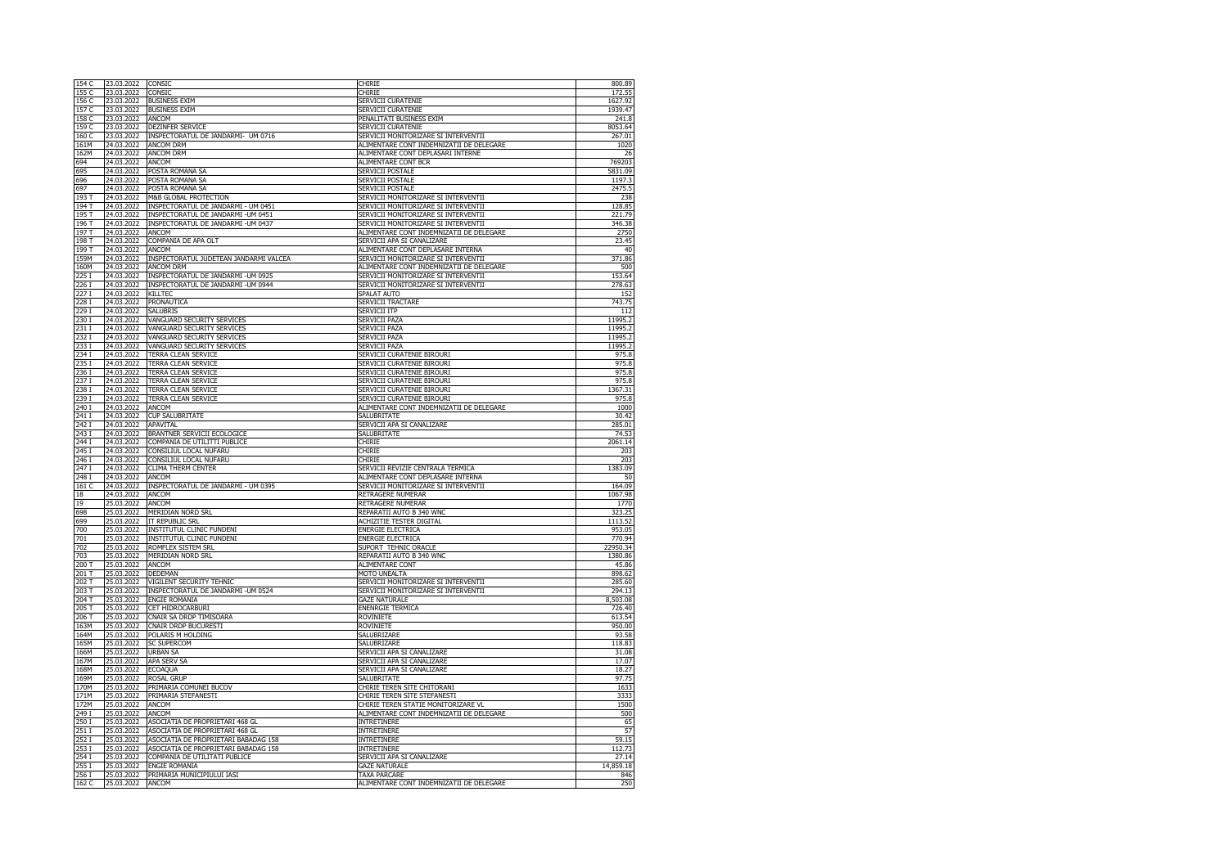| 154 C          | 23.03.2022               | CONSIC                                 | CHIRIE                                   | 800.89            |
|----------------|--------------------------|----------------------------------------|------------------------------------------|-------------------|
| 155 C<br>156 C | 23.03.2022<br>23.03.2022 | CONSIC<br><b>BUSINESS EXIM</b>         | CHIRIE<br>SERVICII CURATENIE             | 172.55<br>1627.92 |
|                |                          |                                        |                                          |                   |
| 157 C          | 23.03.2022               | <b>BUSINESS EXIM</b>                   | SERVICII CURATENIE                       | 1939.47           |
| 158 C          | 23.03.2022               | ANCOM                                  | PENALITATI BUSINESS EXIM                 | 241.8             |
| 159 C          | 23.03.2022               | DEZINFER SERVICE                       | SERVICII CURATENIE                       | 8053.64           |
| 160 C          | 23.03.2022               | INSPECTORATUL DE JANDARMI- UM 0716     | SERVICII MONITORIZARE SI INTERVENTII     | 267.01            |
| 161M           | 24.03.2022               | <b>ANCOM DRM</b>                       | ALIMENTARE CONT INDEMNIZATII DE DELEGARE | 1020              |
| 162M           | 24.03.2022               | <b>ANCOM DRM</b>                       | ALIMENTARE CONT DEPLASARI INTERNE        | 26                |
| 694            | 24.03.2022               | <b>ANCOM</b>                           | ALIMENTARE CONT BCR                      | 769203            |
| 695            | 24.03.2022               | POSTA ROMANA SA                        | SERVICII POSTALE                         | 5831.09           |
| 696            | 24.03.2022               | POSTA ROMANA SA                        | SERVICII POSTALE                         | 1197.3            |
| 697            | 24.03.2022               | POSTA ROMANA SA                        | SERVICII POSTALE                         | 2475.5            |
| 193 T          | 24.03.2022               | M&B GLOBAL PROTECTION                  | SERVICII MONITORIZARE SI INTERVENTII     | 238               |
| 194 T          | 24.03.2022               | INSPECTORATUL DE JANDARMI - UM 0451    | SERVICII MONITORIZARE SI INTERVENTII     | 128.85            |
| 195 T          | 24.03.2022               | INSPECTORATUL DE JANDARMI - UM 0451    | SERVICII MONITORIZARE SI INTERVENTII     | 221.79            |
| 196 T          | 24.03.2022               | INSPECTORATUL DE JANDARMI -UM 0437     | SERVICII MONITORIZARE SI INTERVENTII     | 346.38            |
| 197 T          | 24.03.2022               | ANCOM                                  | ALIMENTARE CONT INDEMNIZATII DE DELEGARE | 2750              |
| 198 T          | 24.03.2022               | COMPANIA DE APA OLT                    | SERVICII APA SI CANALIZARE               | 23.45             |
| 199 T          | 24.03.2022               | <b>ANCOM</b>                           | ALIMENTARE CONT DEPLASARE INTERNA        | 40                |
| 159M           | 24.03.2022               | INSPECTORATUL JUDETEAN JANDARMI VALCEA | SERVICII MONITORIZARE SI INTERVENTII     | 371.86            |
| 160M           | 24.03.2022               | ANCOM DRM                              | ALIMENTARE CONT INDEMNIZATII DE DELEGARE | 500               |
| 225 I          | 24.03.2022               | INSPECTORATUL DE JANDARMI - UM 0925    | SERVICII MONITORIZARE SI INTERVENTII     | 153.64            |
| 226 I          | 24.03.2022               | INSPECTORATUL DE JANDARMI - UM 0944    | SERVICII MONITORIZARE SI INTERVENTII     | 278.63            |
| 227 I          | 24.03.2022               |                                        |                                          |                   |
|                |                          | KILLTEC                                | SPALAT AUTO                              | 152               |
| 228 I          | 24.03.2022               | PRONAUTICA                             | SERVICII TRACTARE                        | 743.75            |
| 229 I          | 24.03.2022               | SALUBRIS                               | SERVICII ITP                             | 112               |
| 230 I          | 24.03.2022               | VANGUARD SECURITY SERVICES             | SERVICII PAZA                            | 11995.2           |
| 231I           | 24.03.2022               | VANGUARD SECURITY SERVICES             | SERVICII PAZA                            | 11995.2           |
| 232 I          | 24.03.2022               | VANGUARD SECURITY SERVICES             | SERVICII PAZA                            | 11995.2           |
| 233 I          | 24.03.2022               | VANGUARD SECURITY SERVICES             | SERVICII PAZA                            | 11995.2           |
| 234 I          | 24.03.2022               | TERRA CLEAN SERVICE                    | SERVICII CURATENIE BIROURI               | 975.8             |
| 235I           | 24.03.2022               | TERRA CLEAN SERVICE                    | SERVICII CURATENIE BIROURI               | 975.8             |
| 236 I          | 24.03.2022               | TERRA CLEAN SERVICE                    | SERVICII CURATENIE BIROURI               | 975.8             |
| 237 I          | 24.03.2022               | TERRA CLEAN SERVICE                    | SERVICII CURATENIE BIROURI               | 975.8             |
| 238 I          | 24.03.2022               | TERRA CLEAN SERVICE                    | SERVICII CURATENIE BIROURI               | 1367.31           |
| 239 I          | 24.03.2022               | TERRA CLEAN SERVICE                    | SERVICII CURATENIE BIROURI               | 975.8             |
| 240 I          | 24.03.2022               | ANCOM                                  | ALIMENTARE CONT INDEMNIZATII DE DELEGARE | 1000              |
| 241I           | 24.03.2022               | <b>CUP SALUBRITATE</b>                 | <b>SALUBRITATE</b>                       | 30.42             |
| 242 I          | 24.03.2022               | APAVITAL                               | SERVICII APA SI CANALIZARE               | 285.01            |
| 243 I          | 24.03.2022               | BRANTNER SERVICII ECOLOGICE            | SALUBRITATE                              | 74.53             |
| 244 I          | 24.03.2022               | COMPANIA DE UTILITTI PUBLICE           | <b>CHIRIE</b>                            | 2061.14           |
| 245 I          | 24.03.2022               | CONSILIUL LOCAL NUFARU                 | CHIRIE                                   | 203               |
| 246 I          | 24.03.2022               | CONSILIUL LOCAL NUFARU                 | CHIRIF                                   | 203               |
| 247 I          | 24.03.2022               | <b>CLIMA THERM CENTER</b>              | SERVICII REVIZIE CENTRALA TERMICA        | 1383.09           |
| 248 I          | 24.03.2022               | ANCOM                                  | ALIMENTARE CONT DEPLASARE INTERNA        | 50                |
|                |                          |                                        |                                          |                   |
| 161 C          | 24.03.2022               | INSPECTORATUL DE JANDARMI - UM 0395    | SERVICII MONITORIZARE SI INTERVENTII     | 164.09            |
| $18\,$         | 24.03.2022               | ANCOM                                  | RETRAGERE NUMERAR                        | 1067.98           |
| 19             | 25.03.2022               | ANCOM                                  | <b>RETRAGERE NUMERAR</b>                 | 1770              |
| 698            | 25.03.2022               | MERIDIAN NORD SRL                      | REPARATII AUTO B 340 WNC                 | 323.25            |
| 699            | 25.03.2022               | IT REPUBLIC SRL                        | ACHIZITIE TESTER DIGITAL                 | 1113.52           |
| 700            | 25.03.2022               | INSTITUTUL CLINIC FUNDENI              | ENERGIE ELECTRICA                        | 953.05            |
| 701            | 25.03.2022               | INSTITUTUL CLINIC FUNDENI              | <b>ENERGIE ELECTRICA</b>                 | 770.94            |
| 702            | 25.03.2022               | ROMFLEX SISTEM SRL                     | SUPORT TEHNIC ORACLE                     | 22950.34          |
| 703            | 25.03.2022               | MERIDIAN NORD SRL                      | REPARATII AUTO B 340 WNC                 | 1380.86           |
| 200 T          | 25.03.2022               | ANCOM                                  | <b>ALIMENTARE CONT</b>                   | 45.86             |
| 201 T          | 25.03.2022               | <b>DEDEMAN</b>                         | MOTO UNEALTA                             | 898.62            |
| 202 T          | 25.03.2022               | VIGILENT SECURITY TEHNIC               | SERVICII MONITORIZARE SI INTERVENTII     | 285.60            |
| 203T           | 25.03.2022               | INSPECTORATUL DE JANDARMI - UM 0524    | SERVICII MONITORIZARE SI INTERVENTII     | 294.13            |
| $204$ T        | 25.03.2022               | <b>ENGIE ROMANIA</b>                   | <b>GAZE NATURALE</b>                     | 8,503.08          |
| 205T           | 25.03.2022               | CET HIDROCARBURI                       | <b>ENENRGIE TERMICA</b>                  | 726.40            |
| 206 T          | 25.03.2022               | CNAIR SA DRDP TIMISOARA                | <b>ROVINIETE</b>                         | 613.54            |
| 163M           | 25.03.2022               | <b>CNAIR DRDP BUCURESTI</b>            | <b>ROVINIETE</b>                         | 950.00            |
| 164M           | 25.03.2022               | POLARIS M HOLDING                      | SALUBRIZARE                              | 93.58             |
| 165M           | 25.03.2022               | <b>SC SUPERCOM</b>                     | SALUBRIZARE                              | 118.83            |
| 166M           | 25.03.2022               | <b>URBAN SA</b>                        | SERVICII APA SI CANALIZARE               |                   |
|                |                          |                                        |                                          | 31.08             |
| 167M           | 25.03.2022               | APA SERV SA                            | SERVICII APA SI CANALIZARE               | 17.07             |
| 168M           | 25.03.2022               | <b>ECOAQUA</b>                         | SERVICII APA SI CANALIZARE               | 18.27             |
| 169M           | 25.03.2022               | <b>ROSAL GRUP</b>                      | SALUBRITATE                              | 97.75             |
| 170M           | 25.03.2022               | PRIMARIA COMUNEI BUCOV                 | CHIRIE TEREN SITE CHITORANI              | 1633              |
| 171M           | 25.03.2022               | PRIMARIA STEFANESTI                    | CHIRIE TEREN SITE STEFANESTI             | 3333              |
| 172M           | 25.03.2022               | ANCOM                                  | CHIRIE TEREN STATIE MONITORIZARE VL      | 1500              |
| 249 T          | 25.03.2022               | ANCOM                                  | ALIMENTARE CONT INDEMNIZATII DE DELEGARE | 500               |
| 250 I          | 25.03.2022               | ASOCIATIA DE PROPRIETARI 468 GL        | <b>INTRETINERE</b>                       | 65                |
| 251I           | 25.03.2022               | ASOCIATIA DE PROPRIETARI 468 GL        | <b>INTRETINERE</b>                       | 57                |
| 252 I          | 25.03.2022               | ASOCIATIA DE PROPRIETARI BABADAG 158   | <b>INTRETINERE</b>                       | 59.15             |
| 253 I          | 25.03.2022               | ASOCIATIA DE PROPRIETARI BABADAG 158   | <b>INTRETINERE</b>                       | 112.73            |
| 254 I          | 25.03.2022               | COMPANIA DE UTILITATI PUBLICE          | SERVICII APA SI CANALIZARE               | 27.14             |
| 255 I          | 25.03.2022               | ENGIE ROMANIA                          | <b>GAZE NATURALE</b>                     | 14,859.18         |
| 256 I          | 25.03.2022               | PRIMARIA MUNICIPIULUI IASI             | <b>TAXA PARCARE</b>                      | 846               |
| 162 C          | 25.03.2022               |                                        |                                          | 250               |
|                |                          | ANCOM                                  | ALIMENTARE CONT INDEMNIZATII DE DELEGARE |                   |